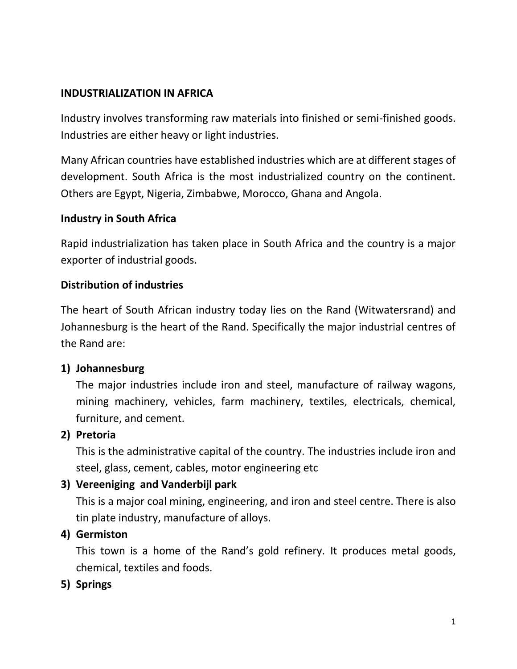#### **INDUSTRIALIZATION IN AFRICA**

Industry involves transforming raw materials into finished or semi-finished goods. Industries are either heavy or light industries.

Many African countries have established industries which are at different stages of development. South Africa is the most industrialized country on the continent. Others are Egypt, Nigeria, Zimbabwe, Morocco, Ghana and Angola.

#### **Industry in South Africa**

Rapid industrialization has taken place in South Africa and the country is a major exporter of industrial goods.

#### **Distribution of industries**

The heart of South African industry today lies on the Rand (Witwatersrand) and Johannesburg is the heart of the Rand. Specifically the major industrial centres of the Rand are:

#### **1) Johannesburg**

The major industries include iron and steel, manufacture of railway wagons, mining machinery, vehicles, farm machinery, textiles, electricals, chemical, furniture, and cement.

#### **2) Pretoria**

This is the administrative capital of the country. The industries include iron and steel, glass, cement, cables, motor engineering etc

#### **3) Vereeniging and Vanderbijl park**

This is a major coal mining, engineering, and iron and steel centre. There is also tin plate industry, manufacture of alloys.

#### **4) Germiston**

This town is a home of the Rand's gold refinery. It produces metal goods, chemical, textiles and foods.

#### **5) Springs**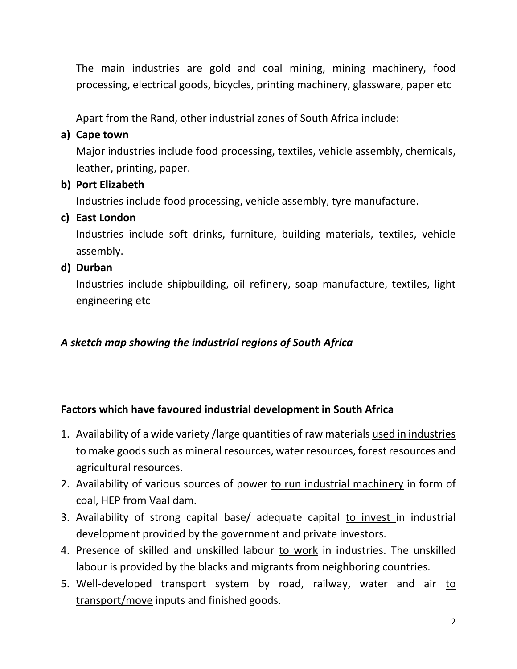The main industries are gold and coal mining, mining machinery, food processing, electrical goods, bicycles, printing machinery, glassware, paper etc

Apart from the Rand, other industrial zones of South Africa include:

## **a) Cape town**

Major industries include food processing, textiles, vehicle assembly, chemicals, leather, printing, paper.

## **b) Port Elizabeth**

Industries include food processing, vehicle assembly, tyre manufacture.

## **c) East London**

Industries include soft drinks, furniture, building materials, textiles, vehicle assembly.

## **d) Durban**

Industries include shipbuilding, oil refinery, soap manufacture, textiles, light engineering etc

## *A sketch map showing the industrial regions of South Africa*

## **Factors which have favoured industrial development in South Africa**

- 1. Availability of a wide variety /large quantities of raw materials used in industries to make goods such as mineral resources, water resources, forest resources and agricultural resources.
- 2. Availability of various sources of power to run industrial machinery in form of coal, HEP from Vaal dam.
- 3. Availability of strong capital base/ adequate capital to invest in industrial development provided by the government and private investors.
- 4. Presence of skilled and unskilled labour to work in industries. The unskilled labour is provided by the blacks and migrants from neighboring countries.
- 5. Well-developed transport system by road, railway, water and air to transport/move inputs and finished goods.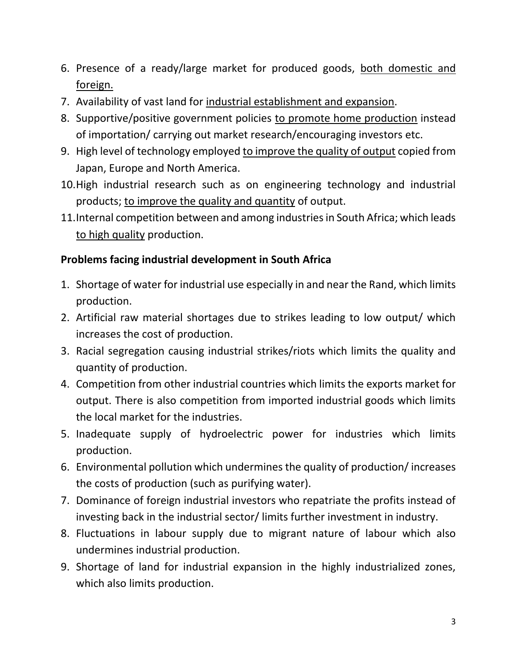- 6. Presence of a ready/large market for produced goods, both domestic and foreign.
- 7. Availability of vast land for industrial establishment and expansion.
- 8. Supportive/positive government policies to promote home production instead of importation/ carrying out market research/encouraging investors etc.
- 9. High level of technology employed to improve the quality of output copied from Japan, Europe and North America.
- 10.High industrial research such as on engineering technology and industrial products; to improve the quality and quantity of output.
- 11.Internal competition between and among industries in South Africa; which leads to high quality production.

## **Problems facing industrial development in South Africa**

- 1. Shortage of water for industrial use especially in and near the Rand, which limits production.
- 2. Artificial raw material shortages due to strikes leading to low output/ which increases the cost of production.
- 3. Racial segregation causing industrial strikes/riots which limits the quality and quantity of production.
- 4. Competition from other industrial countries which limits the exports market for output. There is also competition from imported industrial goods which limits the local market for the industries.
- 5. Inadequate supply of hydroelectric power for industries which limits production.
- 6. Environmental pollution which undermines the quality of production/ increases the costs of production (such as purifying water).
- 7. Dominance of foreign industrial investors who repatriate the profits instead of investing back in the industrial sector/ limits further investment in industry.
- 8. Fluctuations in labour supply due to migrant nature of labour which also undermines industrial production.
- 9. Shortage of land for industrial expansion in the highly industrialized zones, which also limits production.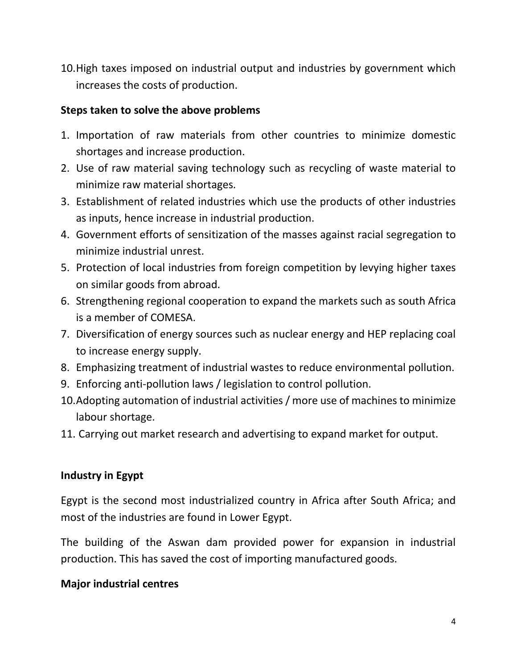10.High taxes imposed on industrial output and industries by government which increases the costs of production.

#### **Steps taken to solve the above problems**

- 1. Importation of raw materials from other countries to minimize domestic shortages and increase production.
- 2. Use of raw material saving technology such as recycling of waste material to minimize raw material shortages.
- 3. Establishment of related industries which use the products of other industries as inputs, hence increase in industrial production.
- 4. Government efforts of sensitization of the masses against racial segregation to minimize industrial unrest.
- 5. Protection of local industries from foreign competition by levying higher taxes on similar goods from abroad.
- 6. Strengthening regional cooperation to expand the markets such as south Africa is a member of COMESA.
- 7. Diversification of energy sources such as nuclear energy and HEP replacing coal to increase energy supply.
- 8. Emphasizing treatment of industrial wastes to reduce environmental pollution.
- 9. Enforcing anti-pollution laws / legislation to control pollution.
- 10.Adopting automation of industrial activities / more use of machines to minimize labour shortage.
- 11. Carrying out market research and advertising to expand market for output.

## **Industry in Egypt**

Egypt is the second most industrialized country in Africa after South Africa; and most of the industries are found in Lower Egypt.

The building of the Aswan dam provided power for expansion in industrial production. This has saved the cost of importing manufactured goods.

#### **Major industrial centres**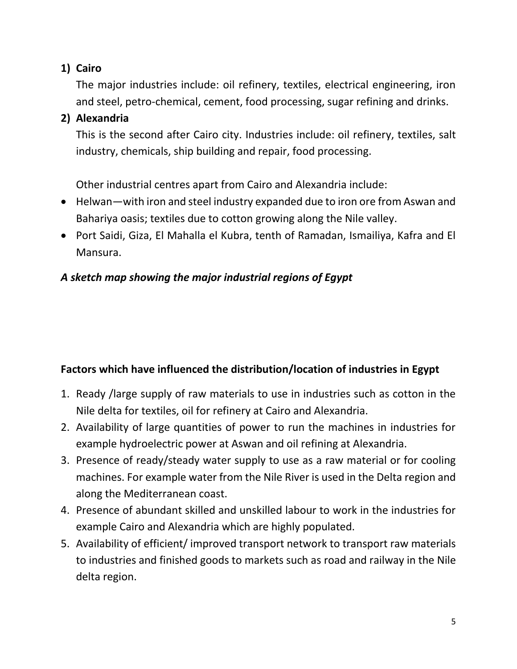## **1) Cairo**

The major industries include: oil refinery, textiles, electrical engineering, iron and steel, petro-chemical, cement, food processing, sugar refining and drinks.

## **2) Alexandria**

This is the second after Cairo city. Industries include: oil refinery, textiles, salt industry, chemicals, ship building and repair, food processing.

Other industrial centres apart from Cairo and Alexandria include:

- Helwan—with iron and steel industry expanded due to iron ore from Aswan and Bahariya oasis; textiles due to cotton growing along the Nile valley.
- Port Saidi, Giza, El Mahalla el Kubra, tenth of Ramadan, Ismailiya, Kafra and El Mansura.

## *A sketch map showing the major industrial regions of Egypt*

## **Factors which have influenced the distribution/location of industries in Egypt**

- 1. Ready /large supply of raw materials to use in industries such as cotton in the Nile delta for textiles, oil for refinery at Cairo and Alexandria.
- 2. Availability of large quantities of power to run the machines in industries for example hydroelectric power at Aswan and oil refining at Alexandria.
- 3. Presence of ready/steady water supply to use as a raw material or for cooling machines. For example water from the Nile River is used in the Delta region and along the Mediterranean coast.
- 4. Presence of abundant skilled and unskilled labour to work in the industries for example Cairo and Alexandria which are highly populated.
- 5. Availability of efficient/ improved transport network to transport raw materials to industries and finished goods to markets such as road and railway in the Nile delta region.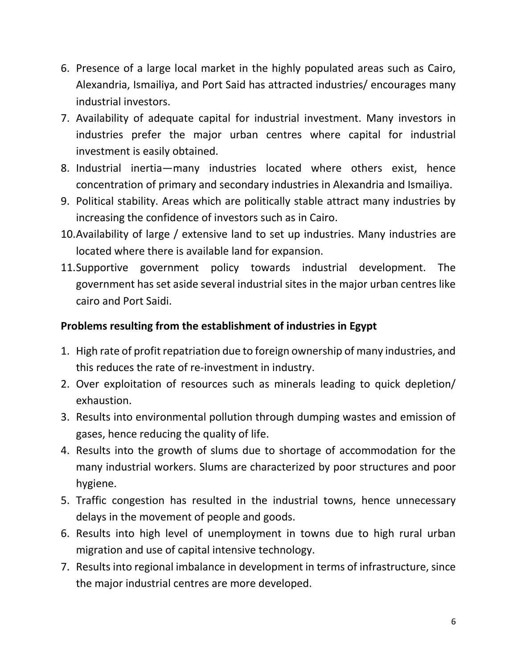- 6. Presence of a large local market in the highly populated areas such as Cairo, Alexandria, Ismailiya, and Port Said has attracted industries/ encourages many industrial investors.
- 7. Availability of adequate capital for industrial investment. Many investors in industries prefer the major urban centres where capital for industrial investment is easily obtained.
- 8. Industrial inertia—many industries located where others exist, hence concentration of primary and secondary industries in Alexandria and Ismailiya.
- 9. Political stability. Areas which are politically stable attract many industries by increasing the confidence of investors such as in Cairo.
- 10.Availability of large / extensive land to set up industries. Many industries are located where there is available land for expansion.
- 11.Supportive government policy towards industrial development. The government has set aside several industrial sites in the major urban centres like cairo and Port Saidi.

## **Problems resulting from the establishment of industries in Egypt**

- 1. High rate of profit repatriation due to foreign ownership of many industries, and this reduces the rate of re-investment in industry.
- 2. Over exploitation of resources such as minerals leading to quick depletion/ exhaustion.
- 3. Results into environmental pollution through dumping wastes and emission of gases, hence reducing the quality of life.
- 4. Results into the growth of slums due to shortage of accommodation for the many industrial workers. Slums are characterized by poor structures and poor hygiene.
- 5. Traffic congestion has resulted in the industrial towns, hence unnecessary delays in the movement of people and goods.
- 6. Results into high level of unemployment in towns due to high rural urban migration and use of capital intensive technology.
- 7. Results into regional imbalance in development in terms of infrastructure, since the major industrial centres are more developed.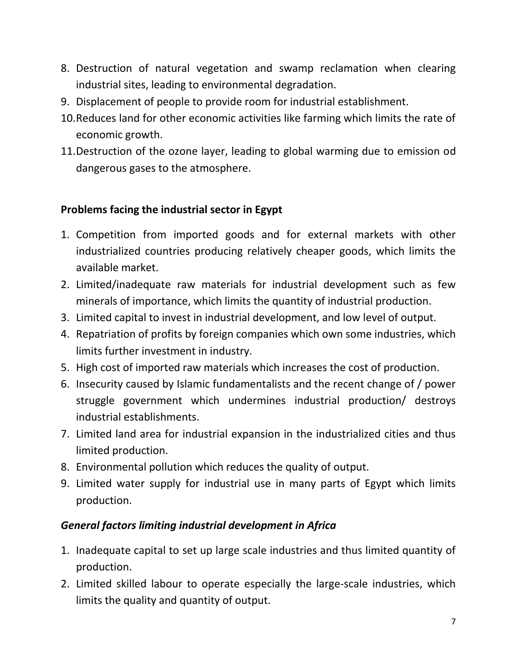- 8. Destruction of natural vegetation and swamp reclamation when clearing industrial sites, leading to environmental degradation.
- 9. Displacement of people to provide room for industrial establishment.
- 10.Reduces land for other economic activities like farming which limits the rate of economic growth.
- 11.Destruction of the ozone layer, leading to global warming due to emission od dangerous gases to the atmosphere.

## **Problems facing the industrial sector in Egypt**

- 1. Competition from imported goods and for external markets with other industrialized countries producing relatively cheaper goods, which limits the available market.
- 2. Limited/inadequate raw materials for industrial development such as few minerals of importance, which limits the quantity of industrial production.
- 3. Limited capital to invest in industrial development, and low level of output.
- 4. Repatriation of profits by foreign companies which own some industries, which limits further investment in industry.
- 5. High cost of imported raw materials which increases the cost of production.
- 6. Insecurity caused by Islamic fundamentalists and the recent change of / power struggle government which undermines industrial production/ destroys industrial establishments.
- 7. Limited land area for industrial expansion in the industrialized cities and thus limited production.
- 8. Environmental pollution which reduces the quality of output.
- 9. Limited water supply for industrial use in many parts of Egypt which limits production.

## *General factors limiting industrial development in Africa*

- 1. Inadequate capital to set up large scale industries and thus limited quantity of production.
- 2. Limited skilled labour to operate especially the large-scale industries, which limits the quality and quantity of output.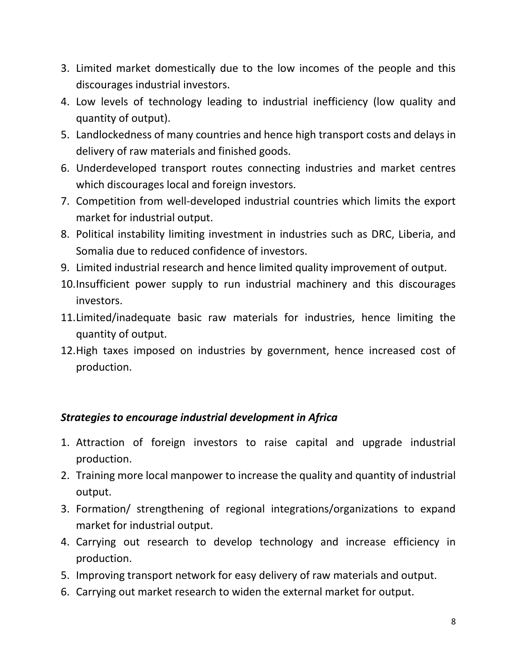- 3. Limited market domestically due to the low incomes of the people and this discourages industrial investors.
- 4. Low levels of technology leading to industrial inefficiency (low quality and quantity of output).
- 5. Landlockedness of many countries and hence high transport costs and delays in delivery of raw materials and finished goods.
- 6. Underdeveloped transport routes connecting industries and market centres which discourages local and foreign investors.
- 7. Competition from well-developed industrial countries which limits the export market for industrial output.
- 8. Political instability limiting investment in industries such as DRC, Liberia, and Somalia due to reduced confidence of investors.
- 9. Limited industrial research and hence limited quality improvement of output.
- 10.Insufficient power supply to run industrial machinery and this discourages investors.
- 11.Limited/inadequate basic raw materials for industries, hence limiting the quantity of output.
- 12.High taxes imposed on industries by government, hence increased cost of production.

## *Strategies to encourage industrial development in Africa*

- 1. Attraction of foreign investors to raise capital and upgrade industrial production.
- 2. Training more local manpower to increase the quality and quantity of industrial output.
- 3. Formation/ strengthening of regional integrations/organizations to expand market for industrial output.
- 4. Carrying out research to develop technology and increase efficiency in production.
- 5. Improving transport network for easy delivery of raw materials and output.
- 6. Carrying out market research to widen the external market for output.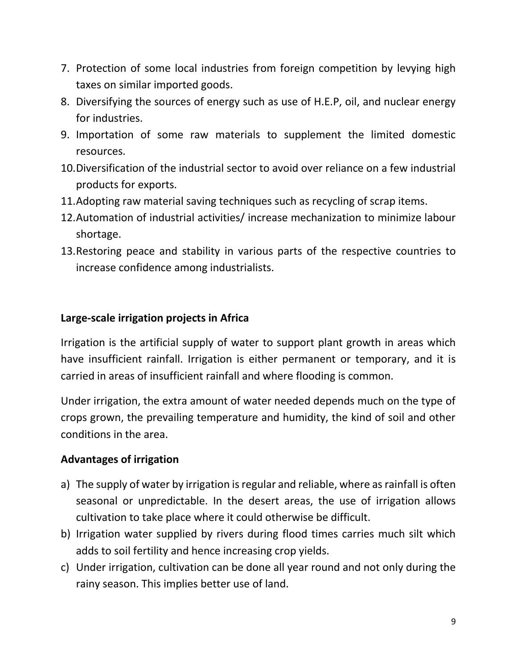- 7. Protection of some local industries from foreign competition by levying high taxes on similar imported goods.
- 8. Diversifying the sources of energy such as use of H.E.P, oil, and nuclear energy for industries.
- 9. Importation of some raw materials to supplement the limited domestic resources.
- 10.Diversification of the industrial sector to avoid over reliance on a few industrial products for exports.
- 11.Adopting raw material saving techniques such as recycling of scrap items.
- 12.Automation of industrial activities/ increase mechanization to minimize labour shortage.
- 13.Restoring peace and stability in various parts of the respective countries to increase confidence among industrialists.

#### **Large-scale irrigation projects in Africa**

Irrigation is the artificial supply of water to support plant growth in areas which have insufficient rainfall. Irrigation is either permanent or temporary, and it is carried in areas of insufficient rainfall and where flooding is common.

Under irrigation, the extra amount of water needed depends much on the type of crops grown, the prevailing temperature and humidity, the kind of soil and other conditions in the area.

## **Advantages of irrigation**

- a) The supply of water by irrigation is regular and reliable, where as rainfall is often seasonal or unpredictable. In the desert areas, the use of irrigation allows cultivation to take place where it could otherwise be difficult.
- b) Irrigation water supplied by rivers during flood times carries much silt which adds to soil fertility and hence increasing crop yields.
- c) Under irrigation, cultivation can be done all year round and not only during the rainy season. This implies better use of land.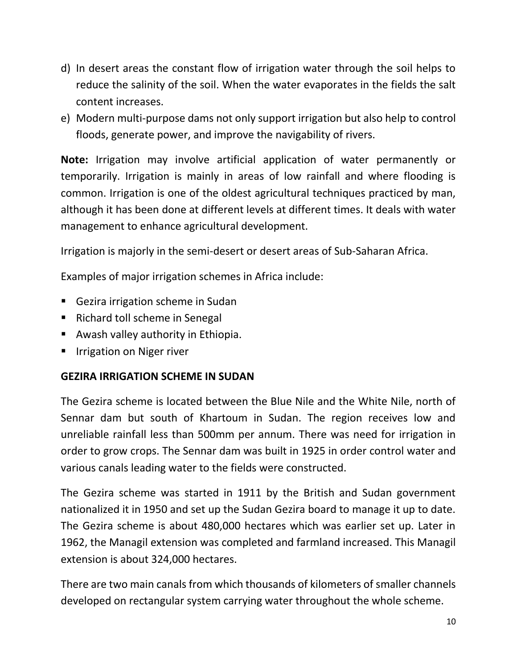- d) In desert areas the constant flow of irrigation water through the soil helps to reduce the salinity of the soil. When the water evaporates in the fields the salt content increases.
- e) Modern multi-purpose dams not only support irrigation but also help to control floods, generate power, and improve the navigability of rivers.

**Note:** Irrigation may involve artificial application of water permanently or temporarily. Irrigation is mainly in areas of low rainfall and where flooding is common. Irrigation is one of the oldest agricultural techniques practiced by man, although it has been done at different levels at different times. It deals with water management to enhance agricultural development.

Irrigation is majorly in the semi-desert or desert areas of Sub-Saharan Africa.

Examples of major irrigation schemes in Africa include:

- Gezira irrigation scheme in Sudan
- Richard toll scheme in Senegal
- **Awash valley authority in Ethiopia.**
- **IF Inducation on Niger river**

#### **GEZIRA IRRIGATION SCHEME IN SUDAN**

The Gezira scheme is located between the Blue Nile and the White Nile, north of Sennar dam but south of Khartoum in Sudan. The region receives low and unreliable rainfall less than 500mm per annum. There was need for irrigation in order to grow crops. The Sennar dam was built in 1925 in order control water and various canals leading water to the fields were constructed.

The Gezira scheme was started in 1911 by the British and Sudan government nationalized it in 1950 and set up the Sudan Gezira board to manage it up to date. The Gezira scheme is about 480,000 hectares which was earlier set up. Later in 1962, the Managil extension was completed and farmland increased. This Managil extension is about 324,000 hectares.

There are two main canals from which thousands of kilometers of smaller channels developed on rectangular system carrying water throughout the whole scheme.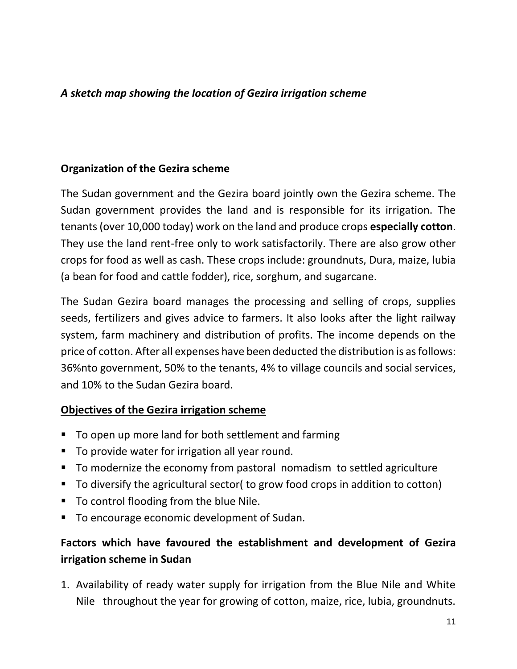#### *A sketch map showing the location of Gezira irrigation scheme*

#### **Organization of the Gezira scheme**

The Sudan government and the Gezira board jointly own the Gezira scheme. The Sudan government provides the land and is responsible for its irrigation. The tenants (over 10,000 today) work on the land and produce crops **especially cotton**. They use the land rent-free only to work satisfactorily. There are also grow other crops for food as well as cash. These crops include: groundnuts, Dura, maize, lubia (a bean for food and cattle fodder), rice, sorghum, and sugarcane.

The Sudan Gezira board manages the processing and selling of crops, supplies seeds, fertilizers and gives advice to farmers. It also looks after the light railway system, farm machinery and distribution of profits. The income depends on the price of cotton. After all expenses have been deducted the distribution is as follows: 36%nto government, 50% to the tenants, 4% to village councils and social services, and 10% to the Sudan Gezira board.

#### **Objectives of the Gezira irrigation scheme**

- To open up more land for both settlement and farming
- To provide water for irrigation all year round.
- To modernize the economy from pastoral nomadism to settled agriculture
- To diversify the agricultural sector( to grow food crops in addition to cotton)
- To control flooding from the blue Nile.
- To encourage economic development of Sudan.

## **Factors which have favoured the establishment and development of Gezira irrigation scheme in Sudan**

1. Availability of ready water supply for irrigation from the Blue Nile and White Nile throughout the year for growing of cotton, maize, rice, lubia, groundnuts.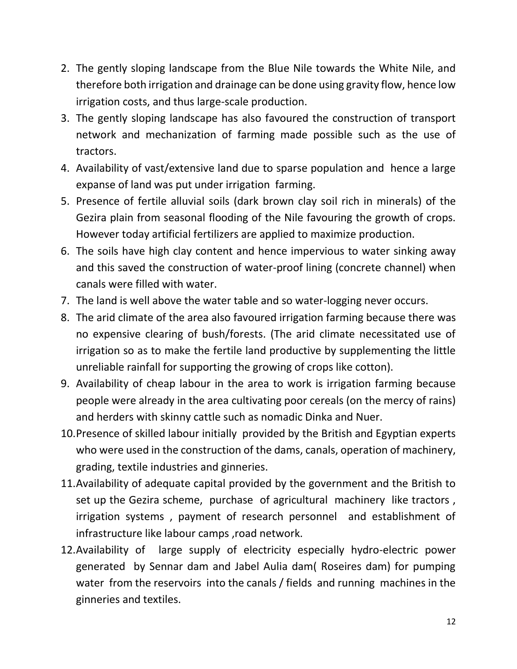- 2. The gently sloping landscape from the Blue Nile towards the White Nile, and therefore both irrigation and drainage can be done using gravity flow, hence low irrigation costs, and thus large-scale production.
- 3. The gently sloping landscape has also favoured the construction of transport network and mechanization of farming made possible such as the use of tractors.
- 4. Availability of vast/extensive land due to sparse population and hence a large expanse of land was put under irrigation farming.
- 5. Presence of fertile alluvial soils (dark brown clay soil rich in minerals) of the Gezira plain from seasonal flooding of the Nile favouring the growth of crops. However today artificial fertilizers are applied to maximize production.
- 6. The soils have high clay content and hence impervious to water sinking away and this saved the construction of water-proof lining (concrete channel) when canals were filled with water.
- 7. The land is well above the water table and so water-logging never occurs.
- 8. The arid climate of the area also favoured irrigation farming because there was no expensive clearing of bush/forests. (The arid climate necessitated use of irrigation so as to make the fertile land productive by supplementing the little unreliable rainfall for supporting the growing of crops like cotton).
- 9. Availability of cheap labour in the area to work is irrigation farming because people were already in the area cultivating poor cereals (on the mercy of rains) and herders with skinny cattle such as nomadic Dinka and Nuer.
- 10.Presence of skilled labour initially provided by the British and Egyptian experts who were used in the construction of the dams, canals, operation of machinery, grading, textile industries and ginneries.
- 11.Availability of adequate capital provided by the government and the British to set up the Gezira scheme, purchase of agricultural machinery like tractors , irrigation systems , payment of research personnel and establishment of infrastructure like labour camps ,road network.
- 12.Availability of large supply of electricity especially hydro-electric power generated by Sennar dam and Jabel Aulia dam( Roseires dam) for pumping water from the reservoirs into the canals / fields and running machines in the ginneries and textiles.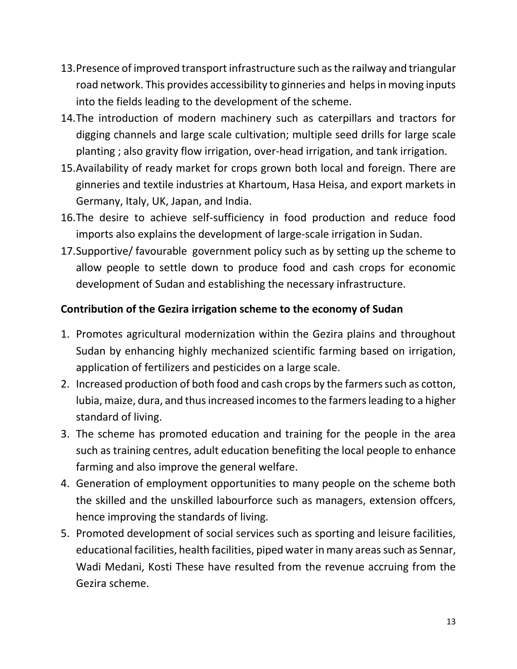- 13.Presence of improved transport infrastructure such as the railway and triangular road network. This provides accessibility to ginneries and helps in moving inputs into the fields leading to the development of the scheme.
- 14.The introduction of modern machinery such as caterpillars and tractors for digging channels and large scale cultivation; multiple seed drills for large scale planting ; also gravity flow irrigation, over-head irrigation, and tank irrigation.
- 15.Availability of ready market for crops grown both local and foreign. There are ginneries and textile industries at Khartoum, Hasa Heisa, and export markets in Germany, Italy, UK, Japan, and India.
- 16.The desire to achieve self-sufficiency in food production and reduce food imports also explains the development of large-scale irrigation in Sudan.
- 17.Supportive/ favourable government policy such as by setting up the scheme to allow people to settle down to produce food and cash crops for economic development of Sudan and establishing the necessary infrastructure.

## **Contribution of the Gezira irrigation scheme to the economy of Sudan**

- 1. Promotes agricultural modernization within the Gezira plains and throughout Sudan by enhancing highly mechanized scientific farming based on irrigation, application of fertilizers and pesticides on a large scale.
- 2. Increased production of both food and cash crops by the farmers such as cotton, lubia, maize, dura, and thus increased incomes to the farmers leading to a higher standard of living.
- 3. The scheme has promoted education and training for the people in the area such as training centres, adult education benefiting the local people to enhance farming and also improve the general welfare.
- 4. Generation of employment opportunities to many people on the scheme both the skilled and the unskilled labourforce such as managers, extension offcers, hence improving the standards of living.
- 5. Promoted development of social services such as sporting and leisure facilities, educational facilities, health facilities, piped water in many areas such as Sennar, Wadi Medani, Kosti These have resulted from the revenue accruing from the Gezira scheme.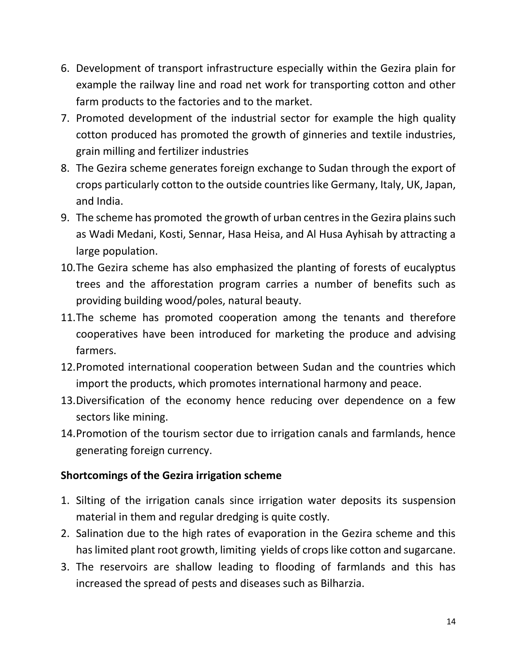- 6. Development of transport infrastructure especially within the Gezira plain for example the railway line and road net work for transporting cotton and other farm products to the factories and to the market.
- 7. Promoted development of the industrial sector for example the high quality cotton produced has promoted the growth of ginneries and textile industries, grain milling and fertilizer industries
- 8. The Gezira scheme generates foreign exchange to Sudan through the export of crops particularly cotton to the outside countries like Germany, Italy, UK, Japan, and India.
- 9. The scheme has promoted the growth of urban centres in the Gezira plains such as Wadi Medani, Kosti, Sennar, Hasa Heisa, and Al Husa Ayhisah by attracting a large population.
- 10.The Gezira scheme has also emphasized the planting of forests of eucalyptus trees and the afforestation program carries a number of benefits such as providing building wood/poles, natural beauty.
- 11.The scheme has promoted cooperation among the tenants and therefore cooperatives have been introduced for marketing the produce and advising farmers.
- 12.Promoted international cooperation between Sudan and the countries which import the products, which promotes international harmony and peace.
- 13.Diversification of the economy hence reducing over dependence on a few sectors like mining.
- 14.Promotion of the tourism sector due to irrigation canals and farmlands, hence generating foreign currency.

## **Shortcomings of the Gezira irrigation scheme**

- 1. Silting of the irrigation canals since irrigation water deposits its suspension material in them and regular dredging is quite costly.
- 2. Salination due to the high rates of evaporation in the Gezira scheme and this has limited plant root growth, limiting yields of crops like cotton and sugarcane.
- 3. The reservoirs are shallow leading to flooding of farmlands and this has increased the spread of pests and diseases such as Bilharzia.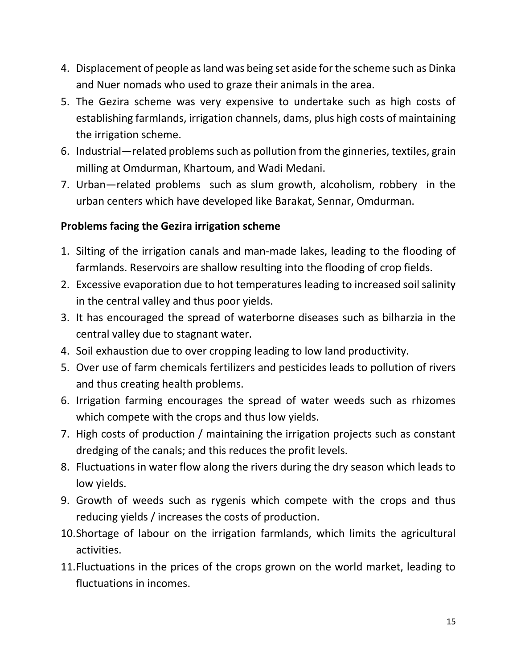- 4. Displacement of people as land was being set aside for the scheme such as Dinka and Nuer nomads who used to graze their animals in the area.
- 5. The Gezira scheme was very expensive to undertake such as high costs of establishing farmlands, irrigation channels, dams, plus high costs of maintaining the irrigation scheme.
- 6. Industrial—related problems such as pollution from the ginneries, textiles, grain milling at Omdurman, Khartoum, and Wadi Medani.
- 7. Urban—related problems such as slum growth, alcoholism, robbery in the urban centers which have developed like Barakat, Sennar, Omdurman.

## **Problems facing the Gezira irrigation scheme**

- 1. Silting of the irrigation canals and man-made lakes, leading to the flooding of farmlands. Reservoirs are shallow resulting into the flooding of crop fields.
- 2. Excessive evaporation due to hot temperatures leading to increased soil salinity in the central valley and thus poor yields.
- 3. It has encouraged the spread of waterborne diseases such as bilharzia in the central valley due to stagnant water.
- 4. Soil exhaustion due to over cropping leading to low land productivity.
- 5. Over use of farm chemicals fertilizers and pesticides leads to pollution of rivers and thus creating health problems.
- 6. Irrigation farming encourages the spread of water weeds such as rhizomes which compete with the crops and thus low yields.
- 7. High costs of production / maintaining the irrigation projects such as constant dredging of the canals; and this reduces the profit levels.
- 8. Fluctuations in water flow along the rivers during the dry season which leads to low yields.
- 9. Growth of weeds such as rygenis which compete with the crops and thus reducing yields / increases the costs of production.
- 10.Shortage of labour on the irrigation farmlands, which limits the agricultural activities.
- 11.Fluctuations in the prices of the crops grown on the world market, leading to fluctuations in incomes.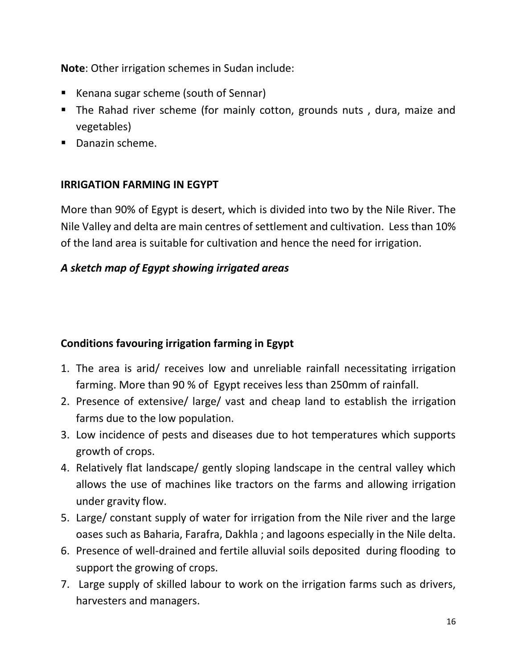**Note**: Other irrigation schemes in Sudan include:

- Kenana sugar scheme (south of Sennar)
- The Rahad river scheme (for mainly cotton, grounds nuts , dura, maize and vegetables)
- Danazin scheme.

## **IRRIGATION FARMING IN EGYPT**

More than 90% of Egypt is desert, which is divided into two by the Nile River. The Nile Valley and delta are main centres of settlement and cultivation. Less than 10% of the land area is suitable for cultivation and hence the need for irrigation.

## *A sketch map of Egypt showing irrigated areas*

## **Conditions favouring irrigation farming in Egypt**

- 1. The area is arid/ receives low and unreliable rainfall necessitating irrigation farming. More than 90 % of Egypt receives less than 250mm of rainfall.
- 2. Presence of extensive/ large/ vast and cheap land to establish the irrigation farms due to the low population.
- 3. Low incidence of pests and diseases due to hot temperatures which supports growth of crops.
- 4. Relatively flat landscape/ gently sloping landscape in the central valley which allows the use of machines like tractors on the farms and allowing irrigation under gravity flow.
- 5. Large/ constant supply of water for irrigation from the Nile river and the large oases such as Baharia, Farafra, Dakhla ; and lagoons especially in the Nile delta.
- 6. Presence of well-drained and fertile alluvial soils deposited during flooding to support the growing of crops.
- 7. Large supply of skilled labour to work on the irrigation farms such as drivers, harvesters and managers.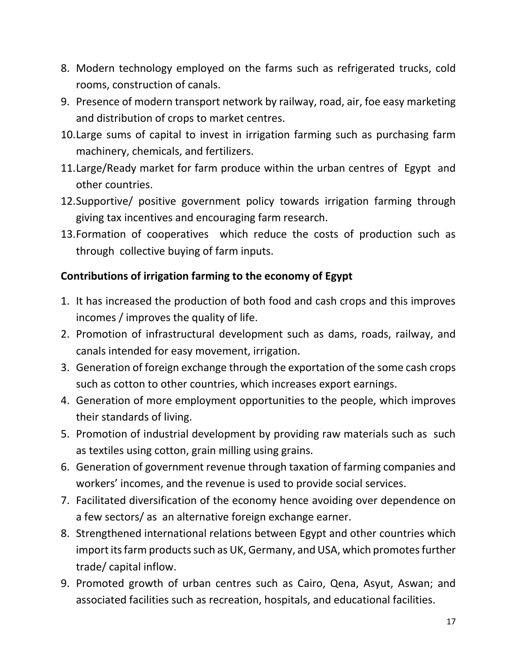- 8. Modern technology employed on the farms such as refrigerated trucks, cold rooms, construction of canals.
- 9. Presence of modern transport network by railway, road, air, foe easy marketing and distribution of crops to market centres.
- 10.Large sums of capital to invest in irrigation farming such as purchasing farm machinery, chemicals, and fertilizers.
- 11.Large/Ready market for farm produce within the urban centres of Egypt and other countries.
- 12.Supportive/ positive government policy towards irrigation farming through giving tax incentives and encouraging farm research.
- 13.Formation of cooperatives which reduce the costs of production such as through collective buying of farm inputs.

## **Contributions of irrigation farming to the economy of Egypt**

- 1. It has increased the production of both food and cash crops and this improves incomes / improves the quality of life.
- 2. Promotion of infrastructural development such as dams, roads, railway, and canals intended for easy movement, irrigation.
- 3. Generation of foreign exchange through the exportation of the some cash crops such as cotton to other countries, which increases export earnings.
- 4. Generation of more employment opportunities to the people, which improves their standards of living.
- 5. Promotion of industrial development by providing raw materials such as such as textiles using cotton, grain milling using grains.
- 6. Generation of government revenue through taxation of farming companies and workers' incomes, and the revenue is used to provide social services.
- 7. Facilitated diversification of the economy hence avoiding over dependence on a few sectors/ as an alternative foreign exchange earner.
- 8. Strengthened international relations between Egypt and other countries which import its farm products such as UK, Germany, and USA, which promotes further trade/ capital inflow.
- 9. Promoted growth of urban centres such as Cairo, Qena, Asyut, Aswan; and associated facilities such as recreation, hospitals, and educational facilities.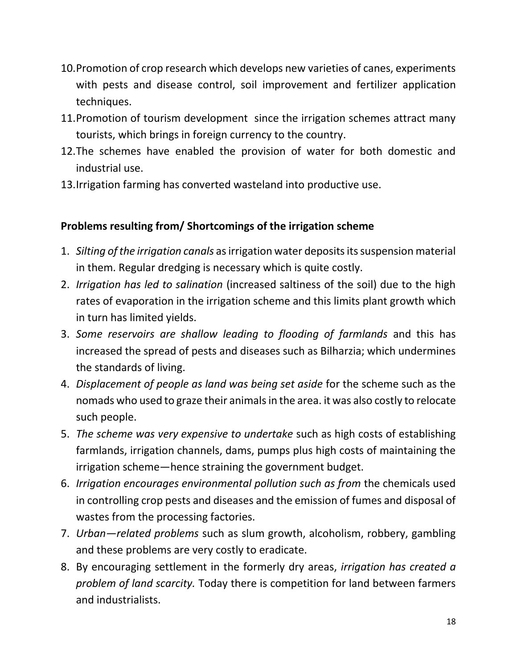- 10.Promotion of crop research which develops new varieties of canes, experiments with pests and disease control, soil improvement and fertilizer application techniques.
- 11.Promotion of tourism development since the irrigation schemes attract many tourists, which brings in foreign currency to the country.
- 12.The schemes have enabled the provision of water for both domestic and industrial use.
- 13.Irrigation farming has converted wasteland into productive use.

## **Problems resulting from/ Shortcomings of the irrigation scheme**

- 1. *Silting of the irrigation canals* as irrigation water deposits its suspension material in them. Regular dredging is necessary which is quite costly.
- 2. *Irrigation has led to salination* (increased saltiness of the soil) due to the high rates of evaporation in the irrigation scheme and this limits plant growth which in turn has limited yields.
- 3. *Some reservoirs are shallow leading to flooding of farmlands* and this has increased the spread of pests and diseases such as Bilharzia; which undermines the standards of living.
- 4. *Displacement of people as land was being set aside* for the scheme such as the nomads who used to graze their animals in the area. it was also costly to relocate such people.
- 5. *The scheme was very expensive to undertake* such as high costs of establishing farmlands, irrigation channels, dams, pumps plus high costs of maintaining the irrigation scheme—hence straining the government budget.
- 6. *Irrigation encourages environmental pollution such as from* the chemicals used in controlling crop pests and diseases and the emission of fumes and disposal of wastes from the processing factories.
- 7. *Urban—related problems* such as slum growth, alcoholism, robbery, gambling and these problems are very costly to eradicate.
- 8. By encouraging settlement in the formerly dry areas, *irrigation has created a problem of land scarcity.* Today there is competition for land between farmers and industrialists.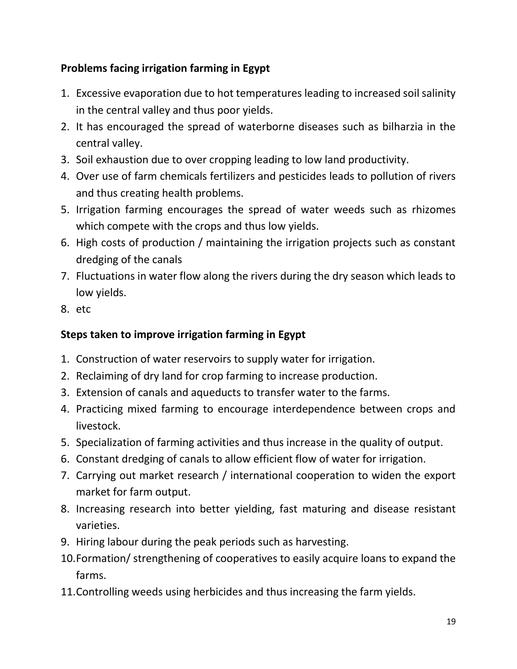## **Problems facing irrigation farming in Egypt**

- 1. Excessive evaporation due to hot temperatures leading to increased soil salinity in the central valley and thus poor yields.
- 2. It has encouraged the spread of waterborne diseases such as bilharzia in the central valley.
- 3. Soil exhaustion due to over cropping leading to low land productivity.
- 4. Over use of farm chemicals fertilizers and pesticides leads to pollution of rivers and thus creating health problems.
- 5. Irrigation farming encourages the spread of water weeds such as rhizomes which compete with the crops and thus low yields.
- 6. High costs of production / maintaining the irrigation projects such as constant dredging of the canals
- 7. Fluctuations in water flow along the rivers during the dry season which leads to low yields.
- 8. etc

## **Steps taken to improve irrigation farming in Egypt**

- 1. Construction of water reservoirs to supply water for irrigation.
- 2. Reclaiming of dry land for crop farming to increase production.
- 3. Extension of canals and aqueducts to transfer water to the farms.
- 4. Practicing mixed farming to encourage interdependence between crops and livestock.
- 5. Specialization of farming activities and thus increase in the quality of output.
- 6. Constant dredging of canals to allow efficient flow of water for irrigation.
- 7. Carrying out market research / international cooperation to widen the export market for farm output.
- 8. Increasing research into better yielding, fast maturing and disease resistant varieties.
- 9. Hiring labour during the peak periods such as harvesting.
- 10.Formation/ strengthening of cooperatives to easily acquire loans to expand the farms.
- 11.Controlling weeds using herbicides and thus increasing the farm yields.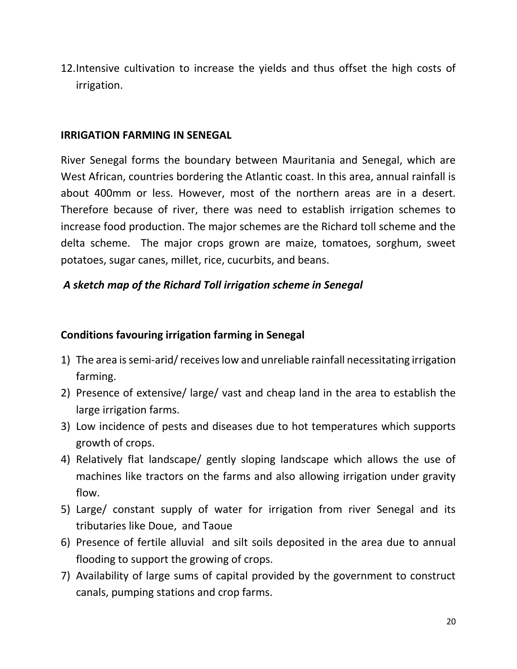12.Intensive cultivation to increase the yields and thus offset the high costs of irrigation.

#### **IRRIGATION FARMING IN SENEGAL**

River Senegal forms the boundary between Mauritania and Senegal, which are West African, countries bordering the Atlantic coast. In this area, annual rainfall is about 400mm or less. However, most of the northern areas are in a desert. Therefore because of river, there was need to establish irrigation schemes to increase food production. The major schemes are the Richard toll scheme and the delta scheme. The major crops grown are maize, tomatoes, sorghum, sweet potatoes, sugar canes, millet, rice, cucurbits, and beans.

#### *A sketch map of the Richard Toll irrigation scheme in Senegal*

#### **Conditions favouring irrigation farming in Senegal**

- 1) The area is semi-arid/ receives low and unreliable rainfall necessitating irrigation farming.
- 2) Presence of extensive/ large/ vast and cheap land in the area to establish the large irrigation farms.
- 3) Low incidence of pests and diseases due to hot temperatures which supports growth of crops.
- 4) Relatively flat landscape/ gently sloping landscape which allows the use of machines like tractors on the farms and also allowing irrigation under gravity flow.
- 5) Large/ constant supply of water for irrigation from river Senegal and its tributaries like Doue, and Taoue
- 6) Presence of fertile alluvial and silt soils deposited in the area due to annual flooding to support the growing of crops.
- 7) Availability of large sums of capital provided by the government to construct canals, pumping stations and crop farms.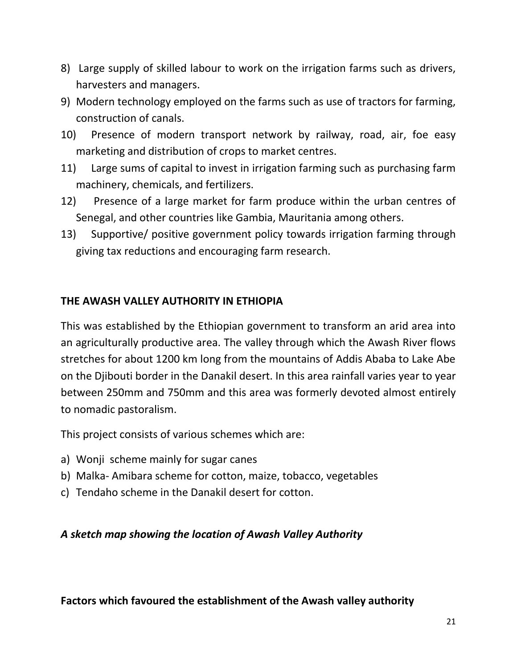- 8) Large supply of skilled labour to work on the irrigation farms such as drivers, harvesters and managers.
- 9) Modern technology employed on the farms such as use of tractors for farming, construction of canals.
- 10) Presence of modern transport network by railway, road, air, foe easy marketing and distribution of crops to market centres.
- 11) Large sums of capital to invest in irrigation farming such as purchasing farm machinery, chemicals, and fertilizers.
- 12) Presence of a large market for farm produce within the urban centres of Senegal, and other countries like Gambia, Mauritania among others.
- 13) Supportive/ positive government policy towards irrigation farming through giving tax reductions and encouraging farm research.

## **THE AWASH VALLEY AUTHORITY IN ETHIOPIA**

This was established by the Ethiopian government to transform an arid area into an agriculturally productive area. The valley through which the Awash River flows stretches for about 1200 km long from the mountains of Addis Ababa to Lake Abe on the Djibouti border in the Danakil desert. In this area rainfall varies year to year between 250mm and 750mm and this area was formerly devoted almost entirely to nomadic pastoralism.

This project consists of various schemes which are:

- a) Wonji scheme mainly for sugar canes
- b) Malka- Amibara scheme for cotton, maize, tobacco, vegetables
- c) Tendaho scheme in the Danakil desert for cotton.

#### *A sketch map showing the location of Awash Valley Authority*

#### **Factors which favoured the establishment of the Awash valley authority**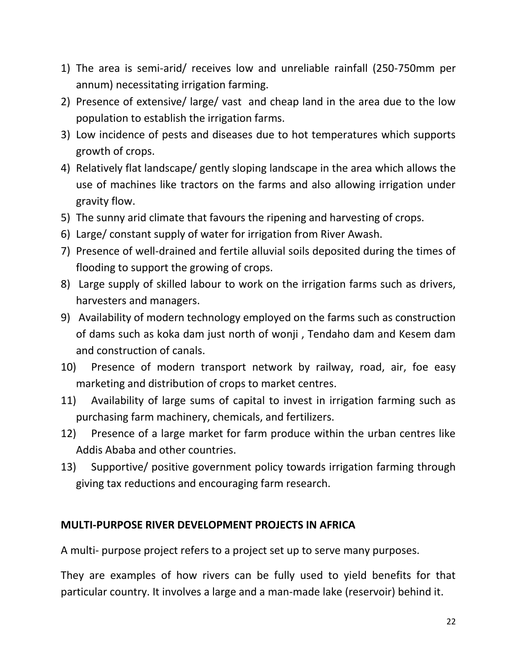- 1) The area is semi-arid/ receives low and unreliable rainfall (250-750mm per annum) necessitating irrigation farming.
- 2) Presence of extensive/ large/ vast and cheap land in the area due to the low population to establish the irrigation farms.
- 3) Low incidence of pests and diseases due to hot temperatures which supports growth of crops.
- 4) Relatively flat landscape/ gently sloping landscape in the area which allows the use of machines like tractors on the farms and also allowing irrigation under gravity flow.
- 5) The sunny arid climate that favours the ripening and harvesting of crops.
- 6) Large/ constant supply of water for irrigation from River Awash.
- 7) Presence of well-drained and fertile alluvial soils deposited during the times of flooding to support the growing of crops.
- 8) Large supply of skilled labour to work on the irrigation farms such as drivers, harvesters and managers.
- 9) Availability of modern technology employed on the farms such as construction of dams such as koka dam just north of wonji , Tendaho dam and Kesem dam and construction of canals.
- 10) Presence of modern transport network by railway, road, air, foe easy marketing and distribution of crops to market centres.
- 11) Availability of large sums of capital to invest in irrigation farming such as purchasing farm machinery, chemicals, and fertilizers.
- 12) Presence of a large market for farm produce within the urban centres like Addis Ababa and other countries.
- 13) Supportive/ positive government policy towards irrigation farming through giving tax reductions and encouraging farm research.

#### **MULTI-PURPOSE RIVER DEVELOPMENT PROJECTS IN AFRICA**

A multi- purpose project refers to a project set up to serve many purposes.

They are examples of how rivers can be fully used to yield benefits for that particular country. It involves a large and a man-made lake (reservoir) behind it.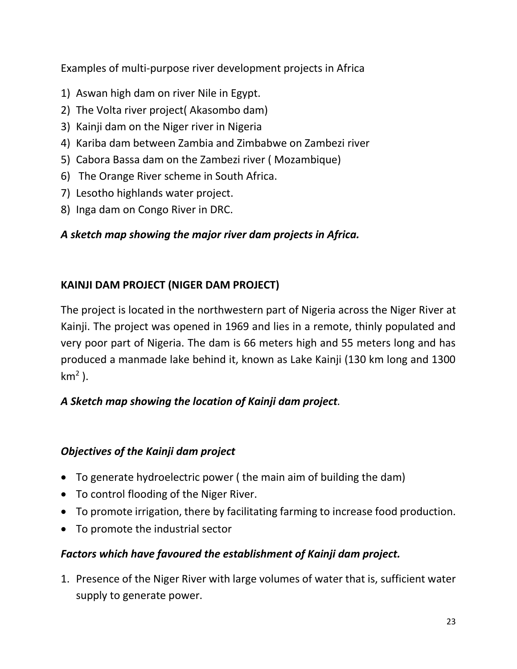Examples of multi-purpose river development projects in Africa

- 1) Aswan high dam on river Nile in Egypt.
- 2) The Volta river project( Akasombo dam)
- 3) Kainji dam on the Niger river in Nigeria
- 4) Kariba dam between Zambia and Zimbabwe on Zambezi river
- 5) Cabora Bassa dam on the Zambezi river ( Mozambique)
- 6) The Orange River scheme in South Africa.
- 7) Lesotho highlands water project.
- 8) Inga dam on Congo River in DRC.

## *A sketch map showing the major river dam projects in Africa.*

## **KAINJI DAM PROJECT (NIGER DAM PROJECT)**

The project is located in the northwestern part of Nigeria across the Niger River at Kainji. The project was opened in 1969 and lies in a remote, thinly populated and very poor part of Nigeria. The dam is 66 meters high and 55 meters long and has produced a manmade lake behind it, known as Lake Kainji (130 km long and 1300 km<sup>2</sup>).

## *A Sketch map showing the location of Kainji dam project.*

## *Objectives of the Kainji dam project*

- To generate hydroelectric power ( the main aim of building the dam)
- To control flooding of the Niger River.
- To promote irrigation, there by facilitating farming to increase food production.
- To promote the industrial sector

## *Factors which have favoured the establishment of Kainji dam project.*

1. Presence of the Niger River with large volumes of water that is, sufficient water supply to generate power.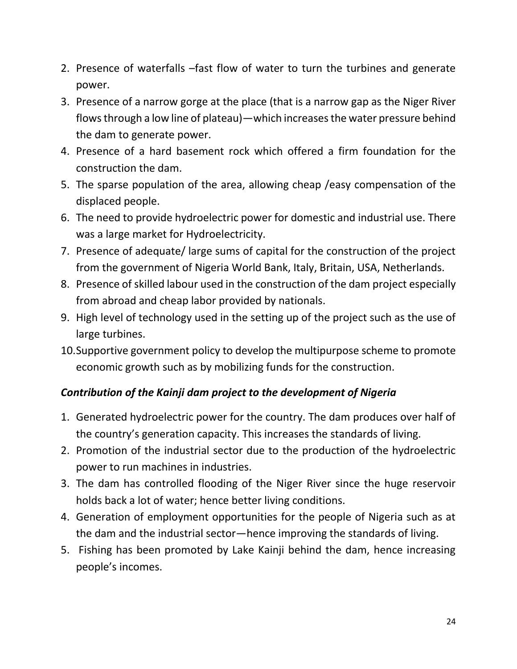- 2. Presence of waterfalls –fast flow of water to turn the turbines and generate power.
- 3. Presence of a narrow gorge at the place (that is a narrow gap as the Niger River flows through a low line of plateau)—which increases the water pressure behind the dam to generate power.
- 4. Presence of a hard basement rock which offered a firm foundation for the construction the dam.
- 5. The sparse population of the area, allowing cheap /easy compensation of the displaced people.
- 6. The need to provide hydroelectric power for domestic and industrial use. There was a large market for Hydroelectricity.
- 7. Presence of adequate/ large sums of capital for the construction of the project from the government of Nigeria World Bank, Italy, Britain, USA, Netherlands.
- 8. Presence of skilled labour used in the construction of the dam project especially from abroad and cheap labor provided by nationals.
- 9. High level of technology used in the setting up of the project such as the use of large turbines.
- 10.Supportive government policy to develop the multipurpose scheme to promote economic growth such as by mobilizing funds for the construction.

## *Contribution of the Kainji dam project to the development of Nigeria*

- 1. Generated hydroelectric power for the country. The dam produces over half of the country's generation capacity. This increases the standards of living.
- 2. Promotion of the industrial sector due to the production of the hydroelectric power to run machines in industries.
- 3. The dam has controlled flooding of the Niger River since the huge reservoir holds back a lot of water; hence better living conditions.
- 4. Generation of employment opportunities for the people of Nigeria such as at the dam and the industrial sector—hence improving the standards of living.
- 5. Fishing has been promoted by Lake Kainji behind the dam, hence increasing people's incomes.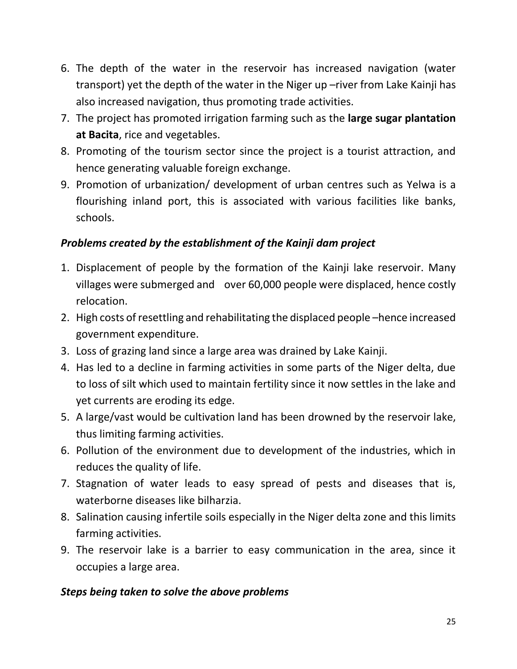- 6. The depth of the water in the reservoir has increased navigation (water transport) yet the depth of the water in the Niger up –river from Lake Kainji has also increased navigation, thus promoting trade activities.
- 7. The project has promoted irrigation farming such as the **large sugar plantation at Bacita**, rice and vegetables.
- 8. Promoting of the tourism sector since the project is a tourist attraction, and hence generating valuable foreign exchange.
- 9. Promotion of urbanization/ development of urban centres such as Yelwa is a flourishing inland port, this is associated with various facilities like banks, schools.

## *Problems created by the establishment of the Kainji dam project*

- 1. Displacement of people by the formation of the Kainji lake reservoir. Many villages were submerged and over 60,000 people were displaced, hence costly relocation.
- 2. High costs of resettling and rehabilitating the displaced people –hence increased government expenditure.
- 3. Loss of grazing land since a large area was drained by Lake Kainji.
- 4. Has led to a decline in farming activities in some parts of the Niger delta, due to loss of silt which used to maintain fertility since it now settles in the lake and yet currents are eroding its edge.
- 5. A large/vast would be cultivation land has been drowned by the reservoir lake, thus limiting farming activities.
- 6. Pollution of the environment due to development of the industries, which in reduces the quality of life.
- 7. Stagnation of water leads to easy spread of pests and diseases that is, waterborne diseases like bilharzia.
- 8. Salination causing infertile soils especially in the Niger delta zone and this limits farming activities.
- 9. The reservoir lake is a barrier to easy communication in the area, since it occupies a large area.

## *Steps being taken to solve the above problems*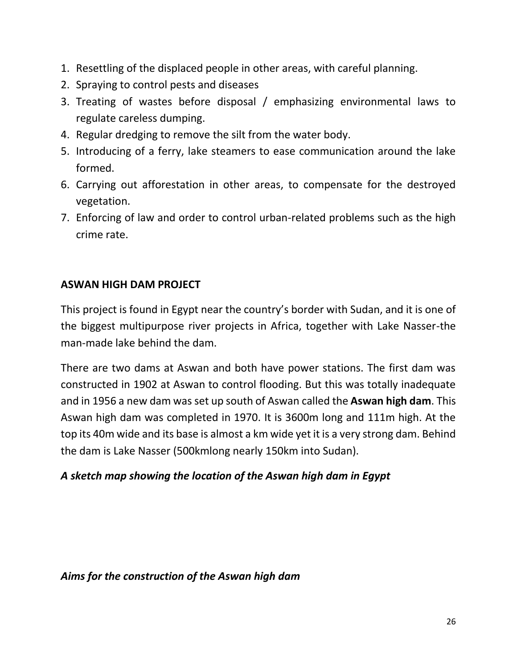- 1. Resettling of the displaced people in other areas, with careful planning.
- 2. Spraying to control pests and diseases
- 3. Treating of wastes before disposal / emphasizing environmental laws to regulate careless dumping.
- 4. Regular dredging to remove the silt from the water body.
- 5. Introducing of a ferry, lake steamers to ease communication around the lake formed.
- 6. Carrying out afforestation in other areas, to compensate for the destroyed vegetation.
- 7. Enforcing of law and order to control urban-related problems such as the high crime rate.

## **ASWAN HIGH DAM PROJECT**

This project is found in Egypt near the country's border with Sudan, and it is one of the biggest multipurpose river projects in Africa, together with Lake Nasser-the man-made lake behind the dam.

There are two dams at Aswan and both have power stations. The first dam was constructed in 1902 at Aswan to control flooding. But this was totally inadequate and in 1956 a new dam was set up south of Aswan called the **Aswan high dam**. This Aswan high dam was completed in 1970. It is 3600m long and 111m high. At the top its 40m wide and its base is almost a km wide yet it is a very strong dam. Behind the dam is Lake Nasser (500kmlong nearly 150km into Sudan).

## *A sketch map showing the location of the Aswan high dam in Egypt*

#### *Aims for the construction of the Aswan high dam*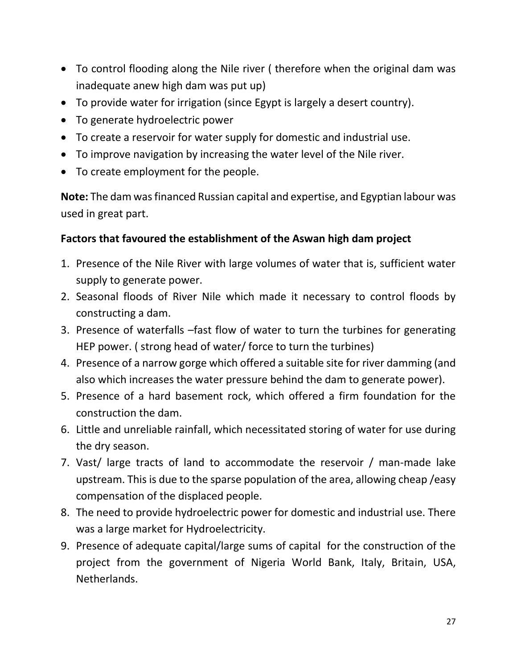- To control flooding along the Nile river ( therefore when the original dam was inadequate anew high dam was put up)
- To provide water for irrigation (since Egypt is largely a desert country).
- To generate hydroelectric power
- To create a reservoir for water supply for domestic and industrial use.
- To improve navigation by increasing the water level of the Nile river.
- To create employment for the people.

**Note:** The dam was financed Russian capital and expertise, and Egyptian labour was used in great part.

## **Factors that favoured the establishment of the Aswan high dam project**

- 1. Presence of the Nile River with large volumes of water that is, sufficient water supply to generate power.
- 2. Seasonal floods of River Nile which made it necessary to control floods by constructing a dam.
- 3. Presence of waterfalls –fast flow of water to turn the turbines for generating HEP power. ( strong head of water/ force to turn the turbines)
- 4. Presence of a narrow gorge which offered a suitable site for river damming (and also which increases the water pressure behind the dam to generate power).
- 5. Presence of a hard basement rock, which offered a firm foundation for the construction the dam.
- 6. Little and unreliable rainfall, which necessitated storing of water for use during the dry season.
- 7. Vast/ large tracts of land to accommodate the reservoir / man-made lake upstream. This is due to the sparse population of the area, allowing cheap /easy compensation of the displaced people.
- 8. The need to provide hydroelectric power for domestic and industrial use. There was a large market for Hydroelectricity.
- 9. Presence of adequate capital/large sums of capital for the construction of the project from the government of Nigeria World Bank, Italy, Britain, USA, Netherlands.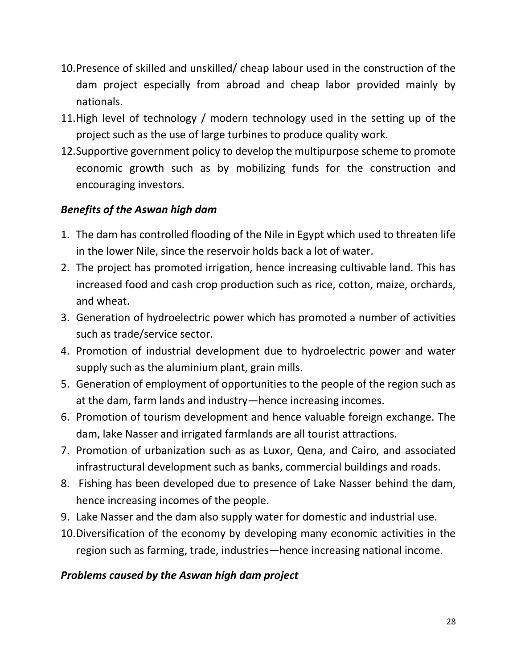- 10.Presence of skilled and unskilled/ cheap labour used in the construction of the dam project especially from abroad and cheap labor provided mainly by nationals.
- 11.High level of technology / modern technology used in the setting up of the project such as the use of large turbines to produce quality work.
- 12.Supportive government policy to develop the multipurpose scheme to promote economic growth such as by mobilizing funds for the construction and encouraging investors.

## *Benefits of the Aswan high dam*

- 1. The dam has controlled flooding of the Nile in Egypt which used to threaten life in the lower Nile, since the reservoir holds back a lot of water.
- 2. The project has promoted irrigation, hence increasing cultivable land. This has increased food and cash crop production such as rice, cotton, maize, orchards, and wheat.
- 3. Generation of hydroelectric power which has promoted a number of activities such as trade/service sector.
- 4. Promotion of industrial development due to hydroelectric power and water supply such as the aluminium plant, grain mills.
- 5. Generation of employment of opportunities to the people of the region such as at the dam, farm lands and industry—hence increasing incomes.
- 6. Promotion of tourism development and hence valuable foreign exchange. The dam, lake Nasser and irrigated farmlands are all tourist attractions.
- 7. Promotion of urbanization such as as Luxor, Qena, and Cairo, and associated infrastructural development such as banks, commercial buildings and roads.
- 8. Fishing has been developed due to presence of Lake Nasser behind the dam, hence increasing incomes of the people.
- 9. Lake Nasser and the dam also supply water for domestic and industrial use.
- 10.Diversification of the economy by developing many economic activities in the region such as farming, trade, industries—hence increasing national income.

## *Problems caused by the Aswan high dam project*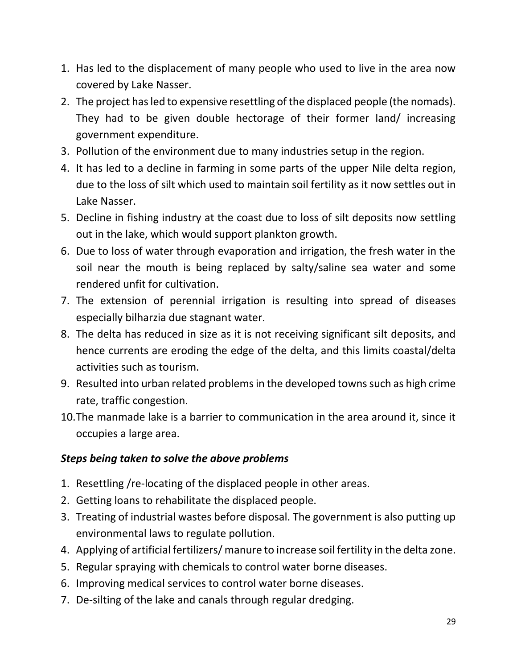- 1. Has led to the displacement of many people who used to live in the area now covered by Lake Nasser.
- 2. The project has led to expensive resettling of the displaced people (the nomads). They had to be given double hectorage of their former land/ increasing government expenditure.
- 3. Pollution of the environment due to many industries setup in the region.
- 4. It has led to a decline in farming in some parts of the upper Nile delta region, due to the loss of silt which used to maintain soil fertility as it now settles out in Lake Nasser.
- 5. Decline in fishing industry at the coast due to loss of silt deposits now settling out in the lake, which would support plankton growth.
- 6. Due to loss of water through evaporation and irrigation, the fresh water in the soil near the mouth is being replaced by salty/saline sea water and some rendered unfit for cultivation.
- 7. The extension of perennial irrigation is resulting into spread of diseases especially bilharzia due stagnant water.
- 8. The delta has reduced in size as it is not receiving significant silt deposits, and hence currents are eroding the edge of the delta, and this limits coastal/delta activities such as tourism.
- 9. Resulted into urban related problems in the developed towns such as high crime rate, traffic congestion.
- 10.The manmade lake is a barrier to communication in the area around it, since it occupies a large area.

## *Steps being taken to solve the above problems*

- 1. Resettling /re-locating of the displaced people in other areas.
- 2. Getting loans to rehabilitate the displaced people.
- 3. Treating of industrial wastes before disposal. The government is also putting up environmental laws to regulate pollution.
- 4. Applying of artificial fertilizers/ manure to increase soil fertility in the delta zone.
- 5. Regular spraying with chemicals to control water borne diseases.
- 6. Improving medical services to control water borne diseases.
- 7. De-silting of the lake and canals through regular dredging.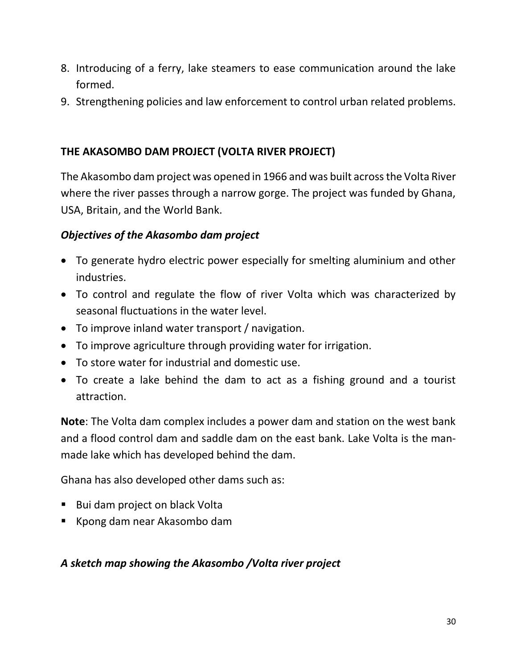- 8. Introducing of a ferry, lake steamers to ease communication around the lake formed.
- 9. Strengthening policies and law enforcement to control urban related problems.

## **THE AKASOMBO DAM PROJECT (VOLTA RIVER PROJECT)**

The Akasombo dam project was opened in 1966 and was built acrossthe Volta River where the river passes through a narrow gorge. The project was funded by Ghana, USA, Britain, and the World Bank.

## *Objectives of the Akasombo dam project*

- To generate hydro electric power especially for smelting aluminium and other industries.
- To control and regulate the flow of river Volta which was characterized by seasonal fluctuations in the water level.
- To improve inland water transport / navigation.
- To improve agriculture through providing water for irrigation.
- To store water for industrial and domestic use.
- To create a lake behind the dam to act as a fishing ground and a tourist attraction.

**Note**: The Volta dam complex includes a power dam and station on the west bank and a flood control dam and saddle dam on the east bank. Lake Volta is the manmade lake which has developed behind the dam.

Ghana has also developed other dams such as:

- Bui dam project on black Volta
- Kpong dam near Akasombo dam

## *A sketch map showing the Akasombo /Volta river project*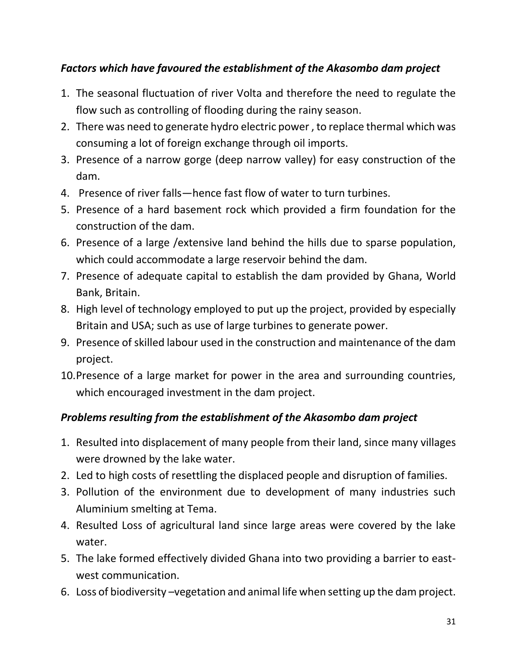## *Factors which have favoured the establishment of the Akasombo dam project*

- 1. The seasonal fluctuation of river Volta and therefore the need to regulate the flow such as controlling of flooding during the rainy season.
- 2. There was need to generate hydro electric power , to replace thermal which was consuming a lot of foreign exchange through oil imports.
- 3. Presence of a narrow gorge (deep narrow valley) for easy construction of the dam.
- 4. Presence of river falls—hence fast flow of water to turn turbines.
- 5. Presence of a hard basement rock which provided a firm foundation for the construction of the dam.
- 6. Presence of a large /extensive land behind the hills due to sparse population, which could accommodate a large reservoir behind the dam.
- 7. Presence of adequate capital to establish the dam provided by Ghana, World Bank, Britain.
- 8. High level of technology employed to put up the project, provided by especially Britain and USA; such as use of large turbines to generate power.
- 9. Presence of skilled labour used in the construction and maintenance of the dam project.
- 10.Presence of a large market for power in the area and surrounding countries, which encouraged investment in the dam project.

## *Problems resulting from the establishment of the Akasombo dam project*

- 1. Resulted into displacement of many people from their land, since many villages were drowned by the lake water.
- 2. Led to high costs of resettling the displaced people and disruption of families.
- 3. Pollution of the environment due to development of many industries such Aluminium smelting at Tema.
- 4. Resulted Loss of agricultural land since large areas were covered by the lake water.
- 5. The lake formed effectively divided Ghana into two providing a barrier to eastwest communication.
- 6. Loss of biodiversity –vegetation and animal life when setting up the dam project.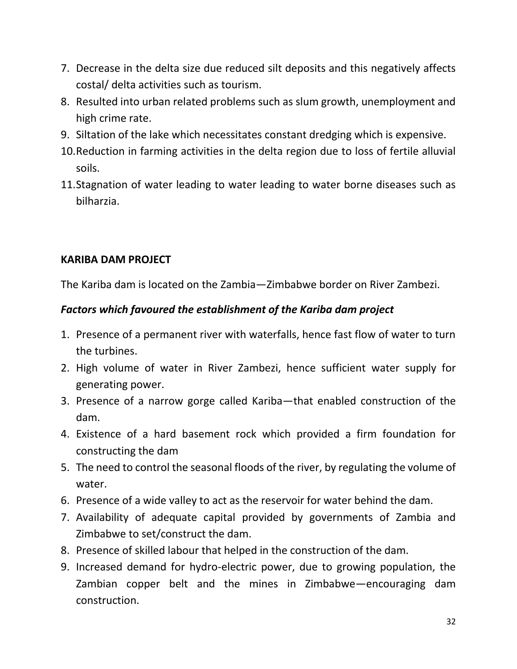- 7. Decrease in the delta size due reduced silt deposits and this negatively affects costal/ delta activities such as tourism.
- 8. Resulted into urban related problems such as slum growth, unemployment and high crime rate.
- 9. Siltation of the lake which necessitates constant dredging which is expensive.
- 10.Reduction in farming activities in the delta region due to loss of fertile alluvial soils.
- 11.Stagnation of water leading to water leading to water borne diseases such as bilharzia.

## **KARIBA DAM PROJECT**

The Kariba dam is located on the Zambia—Zimbabwe border on River Zambezi.

## *Factors which favoured the establishment of the Kariba dam project*

- 1. Presence of a permanent river with waterfalls, hence fast flow of water to turn the turbines.
- 2. High volume of water in River Zambezi, hence sufficient water supply for generating power.
- 3. Presence of a narrow gorge called Kariba—that enabled construction of the dam.
- 4. Existence of a hard basement rock which provided a firm foundation for constructing the dam
- 5. The need to control the seasonal floods of the river, by regulating the volume of water.
- 6. Presence of a wide valley to act as the reservoir for water behind the dam.
- 7. Availability of adequate capital provided by governments of Zambia and Zimbabwe to set/construct the dam.
- 8. Presence of skilled labour that helped in the construction of the dam.
- 9. Increased demand for hydro-electric power, due to growing population, the Zambian copper belt and the mines in Zimbabwe—encouraging dam construction.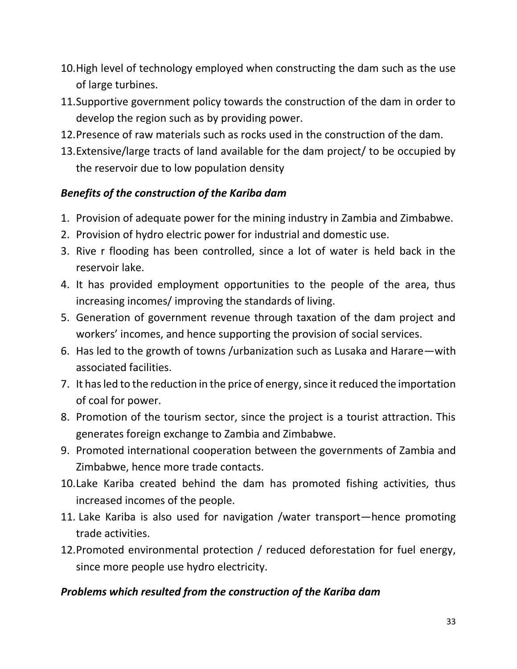- 10.High level of technology employed when constructing the dam such as the use of large turbines.
- 11.Supportive government policy towards the construction of the dam in order to develop the region such as by providing power.
- 12.Presence of raw materials such as rocks used in the construction of the dam.
- 13.Extensive/large tracts of land available for the dam project/ to be occupied by the reservoir due to low population density

## *Benefits of the construction of the Kariba dam*

- 1. Provision of adequate power for the mining industry in Zambia and Zimbabwe.
- 2. Provision of hydro electric power for industrial and domestic use.
- 3. Rive r flooding has been controlled, since a lot of water is held back in the reservoir lake.
- 4. It has provided employment opportunities to the people of the area, thus increasing incomes/ improving the standards of living.
- 5. Generation of government revenue through taxation of the dam project and workers' incomes, and hence supporting the provision of social services.
- 6. Has led to the growth of towns /urbanization such as Lusaka and Harare—with associated facilities.
- 7. It has led to the reduction in the price of energy, since it reduced the importation of coal for power.
- 8. Promotion of the tourism sector, since the project is a tourist attraction. This generates foreign exchange to Zambia and Zimbabwe.
- 9. Promoted international cooperation between the governments of Zambia and Zimbabwe, hence more trade contacts.
- 10.Lake Kariba created behind the dam has promoted fishing activities, thus increased incomes of the people.
- 11. Lake Kariba is also used for navigation /water transport—hence promoting trade activities.
- 12.Promoted environmental protection / reduced deforestation for fuel energy, since more people use hydro electricity.

## *Problems which resulted from the construction of the Kariba dam*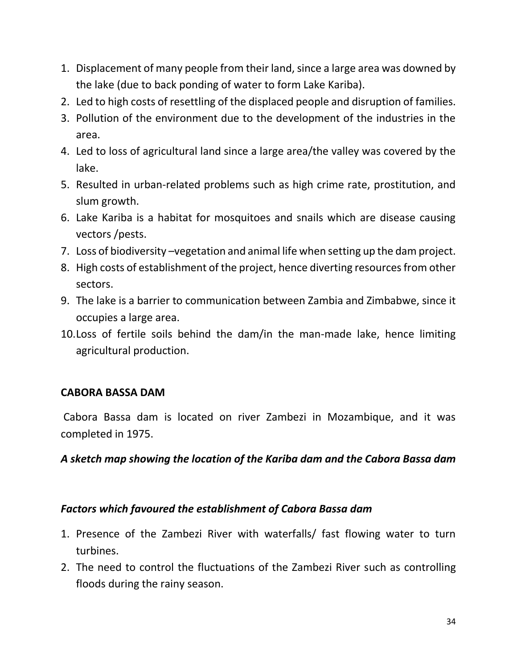- 1. Displacement of many people from their land, since a large area was downed by the lake (due to back ponding of water to form Lake Kariba).
- 2. Led to high costs of resettling of the displaced people and disruption of families.
- 3. Pollution of the environment due to the development of the industries in the area.
- 4. Led to loss of agricultural land since a large area/the valley was covered by the lake.
- 5. Resulted in urban-related problems such as high crime rate, prostitution, and slum growth.
- 6. Lake Kariba is a habitat for mosquitoes and snails which are disease causing vectors /pests.
- 7. Loss of biodiversity –vegetation and animal life when setting up the dam project.
- 8. High costs of establishment of the project, hence diverting resources from other sectors.
- 9. The lake is a barrier to communication between Zambia and Zimbabwe, since it occupies a large area.
- 10.Loss of fertile soils behind the dam/in the man-made lake, hence limiting agricultural production.

#### **CABORA BASSA DAM**

Cabora Bassa dam is located on river Zambezi in Mozambique, and it was completed in 1975.

#### *A sketch map showing the location of the Kariba dam and the Cabora Bassa dam*

#### *Factors which favoured the establishment of Cabora Bassa dam*

- 1. Presence of the Zambezi River with waterfalls/ fast flowing water to turn turbines.
- 2. The need to control the fluctuations of the Zambezi River such as controlling floods during the rainy season.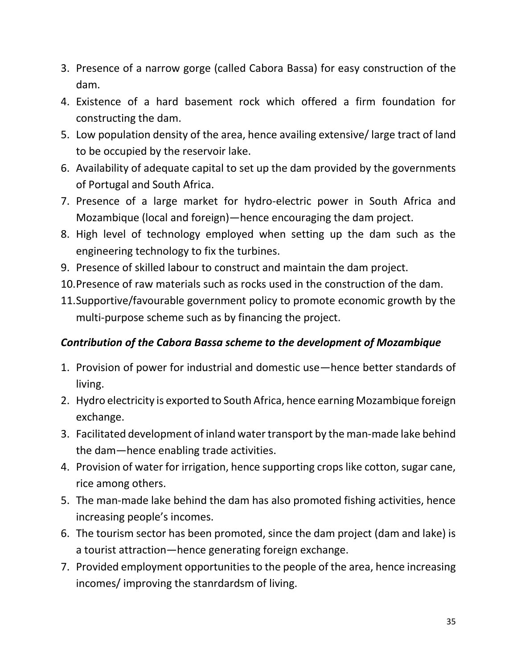- 3. Presence of a narrow gorge (called Cabora Bassa) for easy construction of the dam.
- 4. Existence of a hard basement rock which offered a firm foundation for constructing the dam.
- 5. Low population density of the area, hence availing extensive/ large tract of land to be occupied by the reservoir lake.
- 6. Availability of adequate capital to set up the dam provided by the governments of Portugal and South Africa.
- 7. Presence of a large market for hydro-electric power in South Africa and Mozambique (local and foreign)—hence encouraging the dam project.
- 8. High level of technology employed when setting up the dam such as the engineering technology to fix the turbines.
- 9. Presence of skilled labour to construct and maintain the dam project.
- 10.Presence of raw materials such as rocks used in the construction of the dam.
- 11.Supportive/favourable government policy to promote economic growth by the multi-purpose scheme such as by financing the project.

## *Contribution of the Cabora Bassa scheme to the development of Mozambique*

- 1. Provision of power for industrial and domestic use—hence better standards of living.
- 2. Hydro electricity is exported to South Africa, hence earning Mozambique foreign exchange.
- 3. Facilitated development of inland water transport by the man-made lake behind the dam—hence enabling trade activities.
- 4. Provision of water for irrigation, hence supporting crops like cotton, sugar cane, rice among others.
- 5. The man-made lake behind the dam has also promoted fishing activities, hence increasing people's incomes.
- 6. The tourism sector has been promoted, since the dam project (dam and lake) is a tourist attraction—hence generating foreign exchange.
- 7. Provided employment opportunities to the people of the area, hence increasing incomes/ improving the stanrdardsm of living.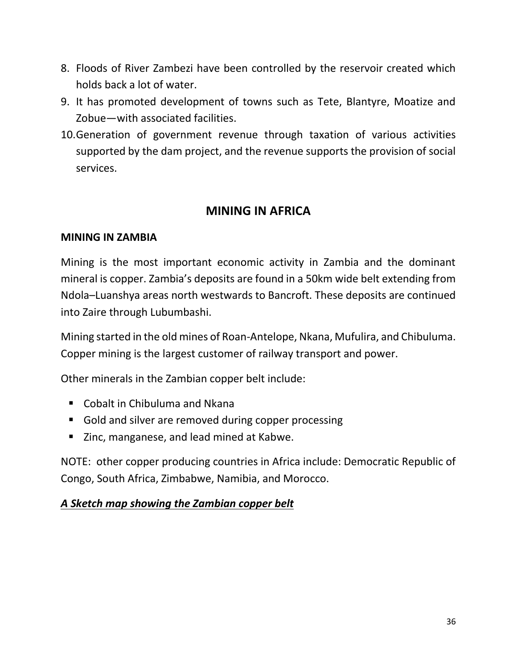- 8. Floods of River Zambezi have been controlled by the reservoir created which holds back a lot of water.
- 9. It has promoted development of towns such as Tete, Blantyre, Moatize and Zobue—with associated facilities.
- 10.Generation of government revenue through taxation of various activities supported by the dam project, and the revenue supports the provision of social services.

## **MINING IN AFRICA**

#### **MINING IN ZAMBIA**

Mining is the most important economic activity in Zambia and the dominant mineral is copper. Zambia's deposits are found in a 50km wide belt extending from Ndola–Luanshya areas north westwards to Bancroft. These deposits are continued into Zaire through Lubumbashi.

Mining started in the old mines of Roan-Antelope, Nkana, Mufulira, and Chibuluma. Copper mining is the largest customer of railway transport and power.

Other minerals in the Zambian copper belt include:

- Cobalt in Chibuluma and Nkana
- Gold and silver are removed during copper processing
- Zinc, manganese, and lead mined at Kabwe.

NOTE: other copper producing countries in Africa include: Democratic Republic of Congo, South Africa, Zimbabwe, Namibia, and Morocco.

## *A Sketch map showing the Zambian copper belt*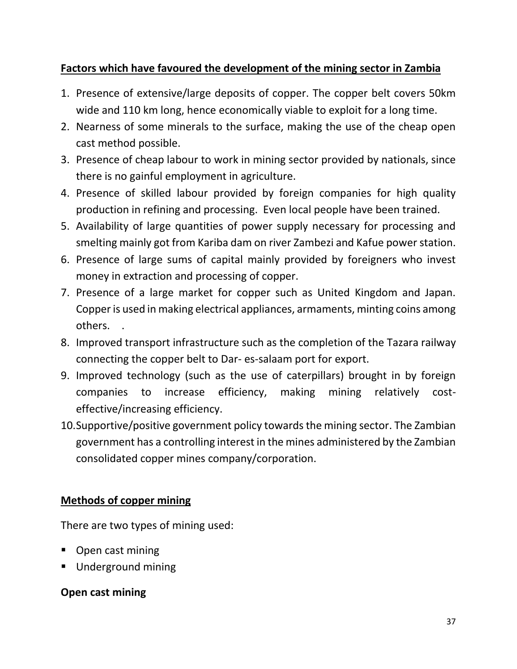## **Factors which have favoured the development of the mining sector in Zambia**

- 1. Presence of extensive/large deposits of copper. The copper belt covers 50km wide and 110 km long, hence economically viable to exploit for a long time.
- 2. Nearness of some minerals to the surface, making the use of the cheap open cast method possible.
- 3. Presence of cheap labour to work in mining sector provided by nationals, since there is no gainful employment in agriculture.
- 4. Presence of skilled labour provided by foreign companies for high quality production in refining and processing. Even local people have been trained.
- 5. Availability of large quantities of power supply necessary for processing and smelting mainly got from Kariba dam on river Zambezi and Kafue power station.
- 6. Presence of large sums of capital mainly provided by foreigners who invest money in extraction and processing of copper.
- 7. Presence of a large market for copper such as United Kingdom and Japan. Copper is used in making electrical appliances, armaments, minting coins among others. .
- 8. Improved transport infrastructure such as the completion of the Tazara railway connecting the copper belt to Dar- es-salaam port for export.
- 9. Improved technology (such as the use of caterpillars) brought in by foreign companies to increase efficiency, making mining relatively costeffective/increasing efficiency.
- 10.Supportive/positive government policy towards the mining sector. The Zambian government has a controlling interest in the mines administered by the Zambian consolidated copper mines company/corporation.

## **Methods of copper mining**

There are two types of mining used:

- **•** Open cast mining
- **Underground mining**

## **Open cast mining**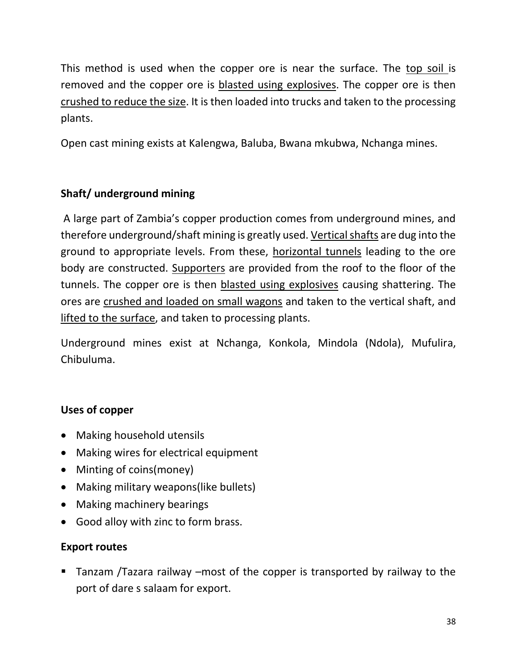This method is used when the copper ore is near the surface. The top soil is removed and the copper ore is blasted using explosives. The copper ore is then crushed to reduce the size. It is then loaded into trucks and taken to the processing plants.

Open cast mining exists at Kalengwa, Baluba, Bwana mkubwa, Nchanga mines.

## **Shaft/ underground mining**

A large part of Zambia's copper production comes from underground mines, and therefore underground/shaft mining is greatly used. Vertical shafts are dug into the ground to appropriate levels. From these, horizontal tunnels leading to the ore body are constructed. Supporters are provided from the roof to the floor of the tunnels. The copper ore is then blasted using explosives causing shattering. The ores are crushed and loaded on small wagons and taken to the vertical shaft, and lifted to the surface, and taken to processing plants.

Underground mines exist at Nchanga, Konkola, Mindola (Ndola), Mufulira, Chibuluma.

## **Uses of copper**

- Making household utensils
- Making wires for electrical equipment
- Minting of coins(money)
- Making military weapons(like bullets)
- Making machinery bearings
- Good alloy with zinc to form brass.

## **Export routes**

 Tanzam /Tazara railway –most of the copper is transported by railway to the port of dare s salaam for export.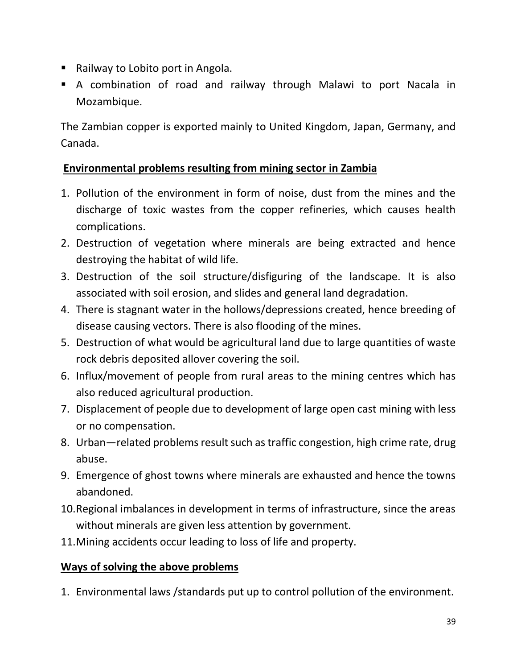- Railway to Lobito port in Angola.
- A combination of road and railway through Malawi to port Nacala in Mozambique.

The Zambian copper is exported mainly to United Kingdom, Japan, Germany, and Canada.

## **Environmental problems resulting from mining sector in Zambia**

- 1. Pollution of the environment in form of noise, dust from the mines and the discharge of toxic wastes from the copper refineries, which causes health complications.
- 2. Destruction of vegetation where minerals are being extracted and hence destroying the habitat of wild life.
- 3. Destruction of the soil structure/disfiguring of the landscape. It is also associated with soil erosion, and slides and general land degradation.
- 4. There is stagnant water in the hollows/depressions created, hence breeding of disease causing vectors. There is also flooding of the mines.
- 5. Destruction of what would be agricultural land due to large quantities of waste rock debris deposited allover covering the soil.
- 6. Influx/movement of people from rural areas to the mining centres which has also reduced agricultural production.
- 7. Displacement of people due to development of large open cast mining with less or no compensation.
- 8. Urban—related problems result such as traffic congestion, high crime rate, drug abuse.
- 9. Emergence of ghost towns where minerals are exhausted and hence the towns abandoned.
- 10.Regional imbalances in development in terms of infrastructure, since the areas without minerals are given less attention by government.
- 11.Mining accidents occur leading to loss of life and property.

## **Ways of solving the above problems**

1. Environmental laws /standards put up to control pollution of the environment.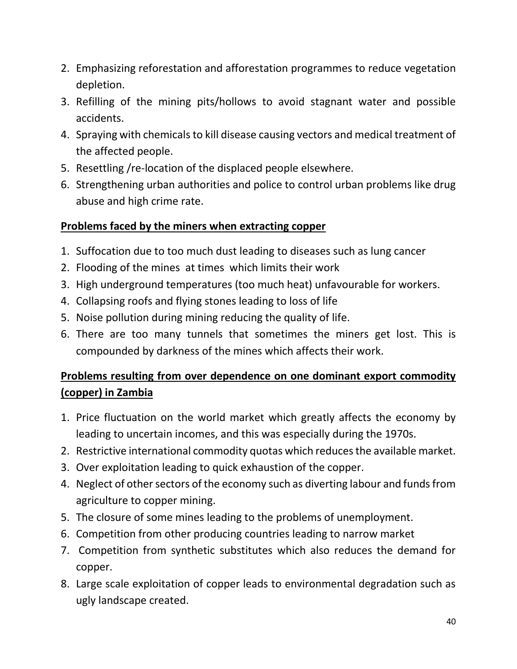- 2. Emphasizing reforestation and afforestation programmes to reduce vegetation depletion.
- 3. Refilling of the mining pits/hollows to avoid stagnant water and possible accidents.
- 4. Spraying with chemicals to kill disease causing vectors and medical treatment of the affected people.
- 5. Resettling /re-location of the displaced people elsewhere.
- 6. Strengthening urban authorities and police to control urban problems like drug abuse and high crime rate.

## **Problems faced by the miners when extracting copper**

- 1. Suffocation due to too much dust leading to diseases such as lung cancer
- 2. Flooding of the mines at times which limits their work
- 3. High underground temperatures (too much heat) unfavourable for workers.
- 4. Collapsing roofs and flying stones leading to loss of life
- 5. Noise pollution during mining reducing the quality of life.
- 6. There are too many tunnels that sometimes the miners get lost. This is compounded by darkness of the mines which affects their work.

## **Problems resulting from over dependence on one dominant export commodity (copper) in Zambia**

- 1. Price fluctuation on the world market which greatly affects the economy by leading to uncertain incomes, and this was especially during the 1970s.
- 2. Restrictive international commodity quotas which reduces the available market.
- 3. Over exploitation leading to quick exhaustion of the copper.
- 4. Neglect of other sectors of the economy such as diverting labour and funds from agriculture to copper mining.
- 5. The closure of some mines leading to the problems of unemployment.
- 6. Competition from other producing countries leading to narrow market
- 7. Competition from synthetic substitutes which also reduces the demand for copper.
- 8. Large scale exploitation of copper leads to environmental degradation such as ugly landscape created.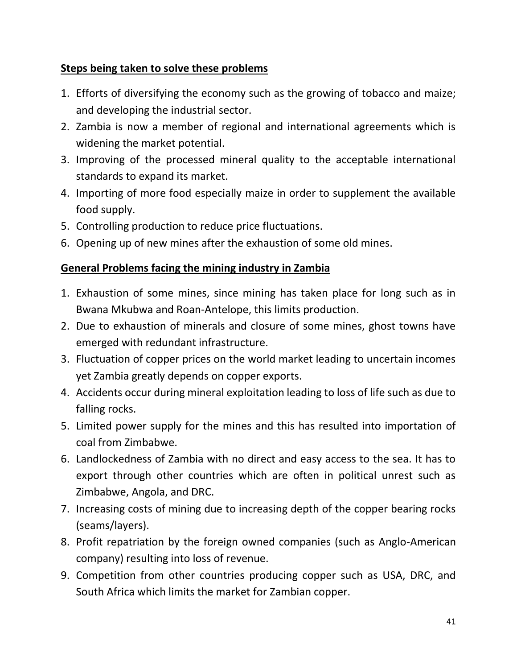## **Steps being taken to solve these problems**

- 1. Efforts of diversifying the economy such as the growing of tobacco and maize; and developing the industrial sector.
- 2. Zambia is now a member of regional and international agreements which is widening the market potential.
- 3. Improving of the processed mineral quality to the acceptable international standards to expand its market.
- 4. Importing of more food especially maize in order to supplement the available food supply.
- 5. Controlling production to reduce price fluctuations.
- 6. Opening up of new mines after the exhaustion of some old mines.

## **General Problems facing the mining industry in Zambia**

- 1. Exhaustion of some mines, since mining has taken place for long such as in Bwana Mkubwa and Roan-Antelope, this limits production.
- 2. Due to exhaustion of minerals and closure of some mines, ghost towns have emerged with redundant infrastructure.
- 3. Fluctuation of copper prices on the world market leading to uncertain incomes yet Zambia greatly depends on copper exports.
- 4. Accidents occur during mineral exploitation leading to loss of life such as due to falling rocks.
- 5. Limited power supply for the mines and this has resulted into importation of coal from Zimbabwe.
- 6. Landlockedness of Zambia with no direct and easy access to the sea. It has to export through other countries which are often in political unrest such as Zimbabwe, Angola, and DRC.
- 7. Increasing costs of mining due to increasing depth of the copper bearing rocks (seams/layers).
- 8. Profit repatriation by the foreign owned companies (such as Anglo-American company) resulting into loss of revenue.
- 9. Competition from other countries producing copper such as USA, DRC, and South Africa which limits the market for Zambian copper.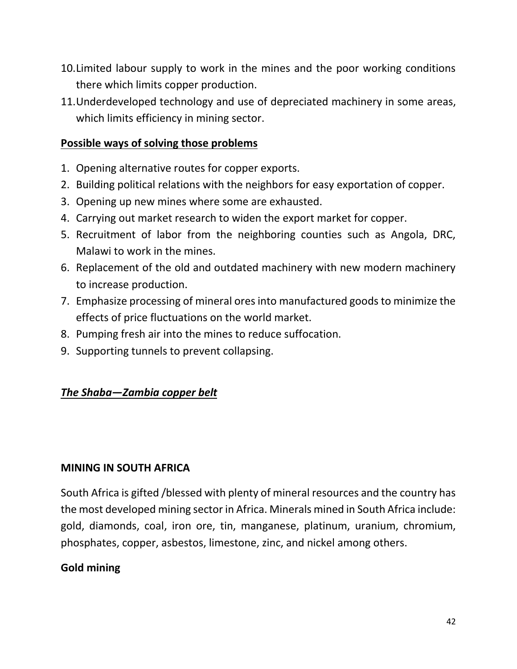- 10.Limited labour supply to work in the mines and the poor working conditions there which limits copper production.
- 11.Underdeveloped technology and use of depreciated machinery in some areas, which limits efficiency in mining sector.

## **Possible ways of solving those problems**

- 1. Opening alternative routes for copper exports.
- 2. Building political relations with the neighbors for easy exportation of copper.
- 3. Opening up new mines where some are exhausted.
- 4. Carrying out market research to widen the export market for copper.
- 5. Recruitment of labor from the neighboring counties such as Angola, DRC, Malawi to work in the mines.
- 6. Replacement of the old and outdated machinery with new modern machinery to increase production.
- 7. Emphasize processing of mineral ores into manufactured goods to minimize the effects of price fluctuations on the world market.
- 8. Pumping fresh air into the mines to reduce suffocation.
- 9. Supporting tunnels to prevent collapsing.

## *The Shaba—Zambia copper belt*

#### **MINING IN SOUTH AFRICA**

South Africa is gifted /blessed with plenty of mineral resources and the country has the most developed mining sector in Africa. Minerals mined in South Africa include: gold, diamonds, coal, iron ore, tin, manganese, platinum, uranium, chromium, phosphates, copper, asbestos, limestone, zinc, and nickel among others.

## **Gold mining**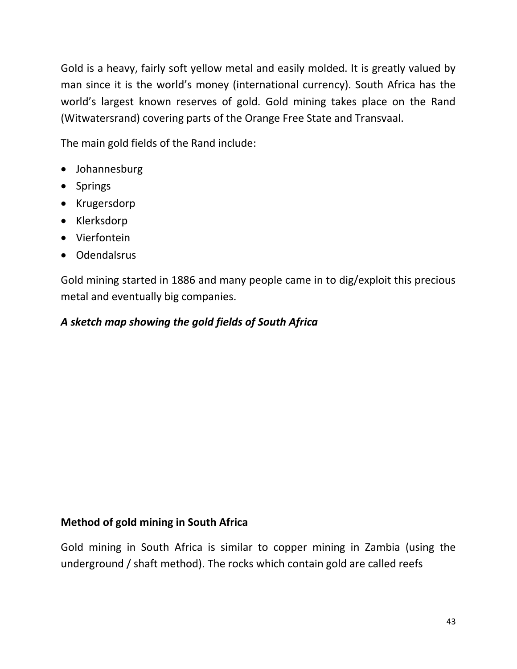Gold is a heavy, fairly soft yellow metal and easily molded. It is greatly valued by man since it is the world's money (international currency). South Africa has the world's largest known reserves of gold. Gold mining takes place on the Rand (Witwatersrand) covering parts of the Orange Free State and Transvaal.

The main gold fields of the Rand include:

- Johannesburg
- Springs
- Krugersdorp
- Klerksdorp
- Vierfontein
- Odendalsrus

Gold mining started in 1886 and many people came in to dig/exploit this precious metal and eventually big companies.

## *A sketch map showing the gold fields of South Africa*

## **Method of gold mining in South Africa**

Gold mining in South Africa is similar to copper mining in Zambia (using the underground / shaft method). The rocks which contain gold are called reefs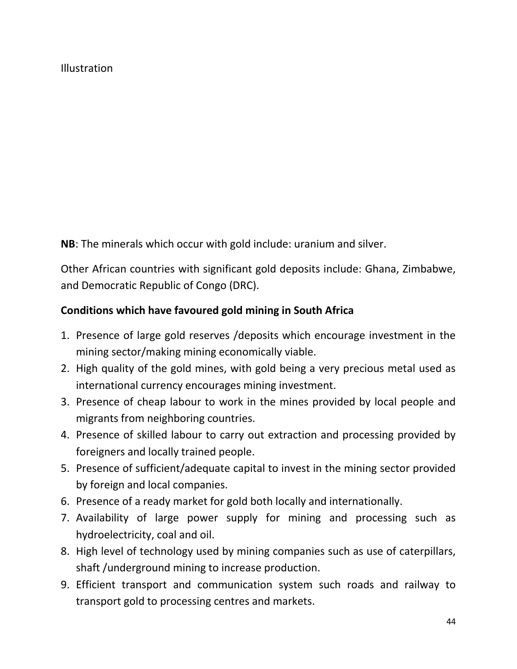#### Illustration

**NB**: The minerals which occur with gold include: uranium and silver.

Other African countries with significant gold deposits include: Ghana, Zimbabwe, and Democratic Republic of Congo (DRC).

#### **Conditions which have favoured gold mining in South Africa**

- 1. Presence of large gold reserves /deposits which encourage investment in the mining sector/making mining economically viable.
- 2. High quality of the gold mines, with gold being a very precious metal used as international currency encourages mining investment.
- 3. Presence of cheap labour to work in the mines provided by local people and migrants from neighboring countries.
- 4. Presence of skilled labour to carry out extraction and processing provided by foreigners and locally trained people.
- 5. Presence of sufficient/adequate capital to invest in the mining sector provided by foreign and local companies.
- 6. Presence of a ready market for gold both locally and internationally.
- 7. Availability of large power supply for mining and processing such as hydroelectricity, coal and oil.
- 8. High level of technology used by mining companies such as use of caterpillars, shaft /underground mining to increase production.
- 9. Efficient transport and communication system such roads and railway to transport gold to processing centres and markets.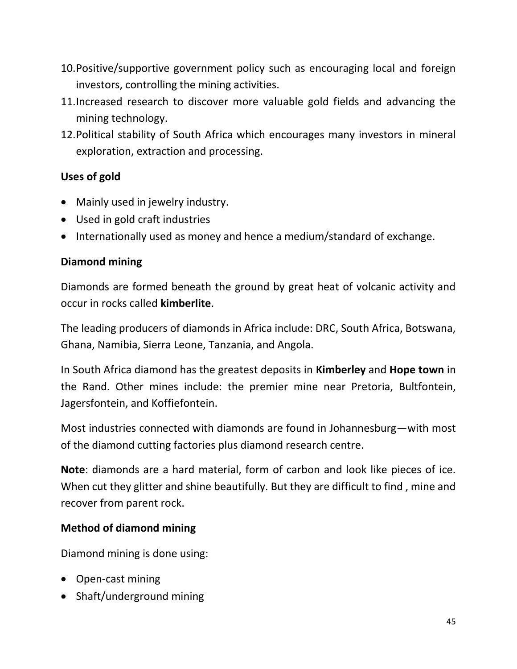- 10.Positive/supportive government policy such as encouraging local and foreign investors, controlling the mining activities.
- 11.Increased research to discover more valuable gold fields and advancing the mining technology.
- 12.Political stability of South Africa which encourages many investors in mineral exploration, extraction and processing.

## **Uses of gold**

- Mainly used in jewelry industry.
- Used in gold craft industries
- Internationally used as money and hence a medium/standard of exchange.

## **Diamond mining**

Diamonds are formed beneath the ground by great heat of volcanic activity and occur in rocks called **kimberlite**.

The leading producers of diamonds in Africa include: DRC, South Africa, Botswana, Ghana, Namibia, Sierra Leone, Tanzania, and Angola.

In South Africa diamond has the greatest deposits in **Kimberley** and **Hope town** in the Rand. Other mines include: the premier mine near Pretoria, Bultfontein, Jagersfontein, and Koffiefontein.

Most industries connected with diamonds are found in Johannesburg—with most of the diamond cutting factories plus diamond research centre.

**Note**: diamonds are a hard material, form of carbon and look like pieces of ice. When cut they glitter and shine beautifully. But they are difficult to find , mine and recover from parent rock.

## **Method of diamond mining**

Diamond mining is done using:

- Open-cast mining
- Shaft/underground mining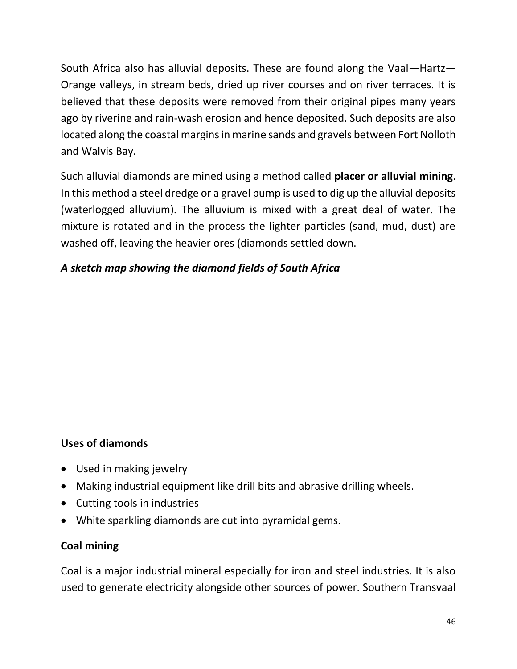South Africa also has alluvial deposits. These are found along the Vaal—Hartz— Orange valleys, in stream beds, dried up river courses and on river terraces. It is believed that these deposits were removed from their original pipes many years ago by riverine and rain-wash erosion and hence deposited. Such deposits are also located along the coastal margins in marine sands and gravels between Fort Nolloth and Walvis Bay.

Such alluvial diamonds are mined using a method called **placer or alluvial mining**. In this method a steel dredge or a gravel pump is used to dig up the alluvial deposits (waterlogged alluvium). The alluvium is mixed with a great deal of water. The mixture is rotated and in the process the lighter particles (sand, mud, dust) are washed off, leaving the heavier ores (diamonds settled down.

## *A sketch map showing the diamond fields of South Africa*

## **Uses of diamonds**

- Used in making jewelry
- Making industrial equipment like drill bits and abrasive drilling wheels.
- Cutting tools in industries
- White sparkling diamonds are cut into pyramidal gems.

## **Coal mining**

Coal is a major industrial mineral especially for iron and steel industries. It is also used to generate electricity alongside other sources of power. Southern Transvaal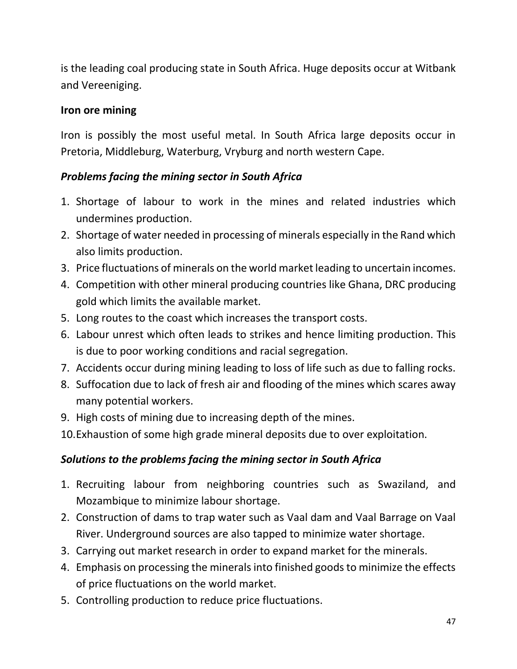is the leading coal producing state in South Africa. Huge deposits occur at Witbank and Vereeniging.

## **Iron ore mining**

Iron is possibly the most useful metal. In South Africa large deposits occur in Pretoria, Middleburg, Waterburg, Vryburg and north western Cape.

## *Problems facing the mining sector in South Africa*

- 1. Shortage of labour to work in the mines and related industries which undermines production.
- 2. Shortage of water needed in processing of minerals especially in the Rand which also limits production.
- 3. Price fluctuations of minerals on the world market leading to uncertain incomes.
- 4. Competition with other mineral producing countries like Ghana, DRC producing gold which limits the available market.
- 5. Long routes to the coast which increases the transport costs.
- 6. Labour unrest which often leads to strikes and hence limiting production. This is due to poor working conditions and racial segregation.
- 7. Accidents occur during mining leading to loss of life such as due to falling rocks.
- 8. Suffocation due to lack of fresh air and flooding of the mines which scares away many potential workers.
- 9. High costs of mining due to increasing depth of the mines.
- 10.Exhaustion of some high grade mineral deposits due to over exploitation.

## *Solutions to the problems facing the mining sector in South Africa*

- 1. Recruiting labour from neighboring countries such as Swaziland, and Mozambique to minimize labour shortage.
- 2. Construction of dams to trap water such as Vaal dam and Vaal Barrage on Vaal River. Underground sources are also tapped to minimize water shortage.
- 3. Carrying out market research in order to expand market for the minerals.
- 4. Emphasis on processing the minerals into finished goods to minimize the effects of price fluctuations on the world market.
- 5. Controlling production to reduce price fluctuations.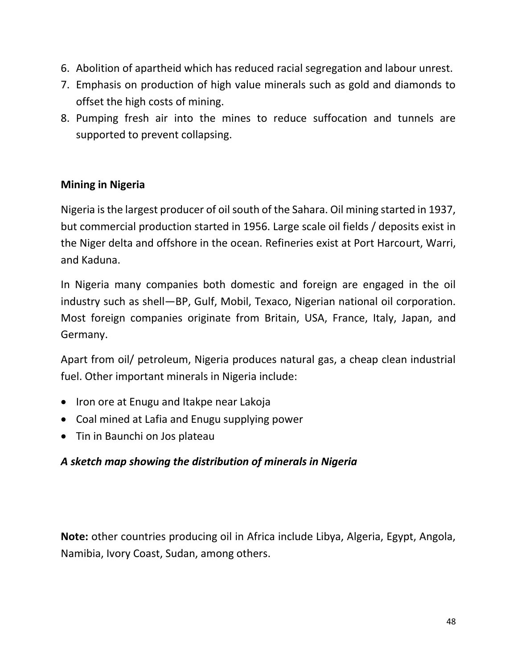- 6. Abolition of apartheid which has reduced racial segregation and labour unrest.
- 7. Emphasis on production of high value minerals such as gold and diamonds to offset the high costs of mining.
- 8. Pumping fresh air into the mines to reduce suffocation and tunnels are supported to prevent collapsing.

## **Mining in Nigeria**

Nigeria is the largest producer of oil south of the Sahara. Oil mining started in 1937, but commercial production started in 1956. Large scale oil fields / deposits exist in the Niger delta and offshore in the ocean. Refineries exist at Port Harcourt, Warri, and Kaduna.

In Nigeria many companies both domestic and foreign are engaged in the oil industry such as shell—BP, Gulf, Mobil, Texaco, Nigerian national oil corporation. Most foreign companies originate from Britain, USA, France, Italy, Japan, and Germany.

Apart from oil/ petroleum, Nigeria produces natural gas, a cheap clean industrial fuel. Other important minerals in Nigeria include:

- Iron ore at Enugu and Itakpe near Lakoja
- Coal mined at Lafia and Enugu supplying power
- Tin in Baunchi on Jos plateau

## *A sketch map showing the distribution of minerals in Nigeria*

**Note:** other countries producing oil in Africa include Libya, Algeria, Egypt, Angola, Namibia, Ivory Coast, Sudan, among others.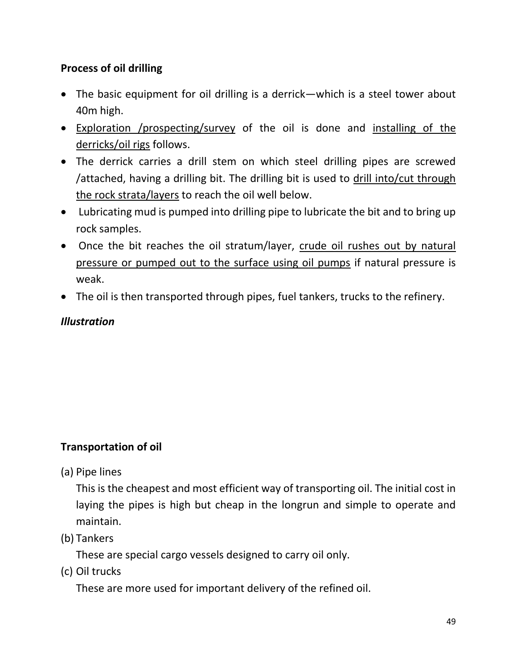## **Process of oil drilling**

- The basic equipment for oil drilling is a derrick—which is a steel tower about 40m high.
- Exploration /prospecting/survey of the oil is done and installing of the derricks/oil rigs follows.
- The derrick carries a drill stem on which steel drilling pipes are screwed /attached, having a drilling bit. The drilling bit is used to drill into/cut through the rock strata/layers to reach the oil well below.
- Lubricating mud is pumped into drilling pipe to lubricate the bit and to bring up rock samples.
- Once the bit reaches the oil stratum/layer, crude oil rushes out by natural pressure or pumped out to the surface using oil pumps if natural pressure is weak.
- The oil is then transported through pipes, fuel tankers, trucks to the refinery.

## *Illustration*

## **Transportation of oil**

(a) Pipe lines

This is the cheapest and most efficient way of transporting oil. The initial cost in laying the pipes is high but cheap in the longrun and simple to operate and maintain.

(b) Tankers

These are special cargo vessels designed to carry oil only.

(c) Oil trucks

These are more used for important delivery of the refined oil.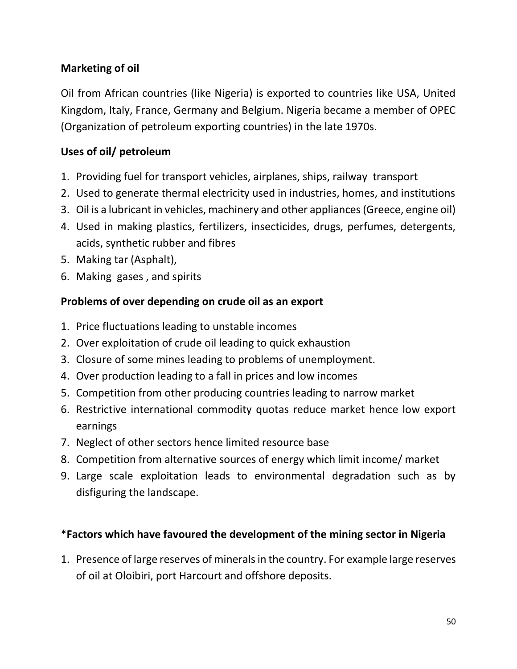## **Marketing of oil**

Oil from African countries (like Nigeria) is exported to countries like USA, United Kingdom, Italy, France, Germany and Belgium. Nigeria became a member of OPEC (Organization of petroleum exporting countries) in the late 1970s.

## **Uses of oil/ petroleum**

- 1. Providing fuel for transport vehicles, airplanes, ships, railway transport
- 2. Used to generate thermal electricity used in industries, homes, and institutions
- 3. Oil is a lubricant in vehicles, machinery and other appliances (Greece, engine oil)
- 4. Used in making plastics, fertilizers, insecticides, drugs, perfumes, detergents, acids, synthetic rubber and fibres
- 5. Making tar (Asphalt),
- 6. Making gases , and spirits

## **Problems of over depending on crude oil as an export**

- 1. Price fluctuations leading to unstable incomes
- 2. Over exploitation of crude oil leading to quick exhaustion
- 3. Closure of some mines leading to problems of unemployment.
- 4. Over production leading to a fall in prices and low incomes
- 5. Competition from other producing countries leading to narrow market
- 6. Restrictive international commodity quotas reduce market hence low export earnings
- 7. Neglect of other sectors hence limited resource base
- 8. Competition from alternative sources of energy which limit income/ market
- 9. Large scale exploitation leads to environmental degradation such as by disfiguring the landscape.

#### \***Factors which have favoured the development of the mining sector in Nigeria**

1. Presence of large reserves of minerals in the country. For example large reserves of oil at Oloibiri, port Harcourt and offshore deposits.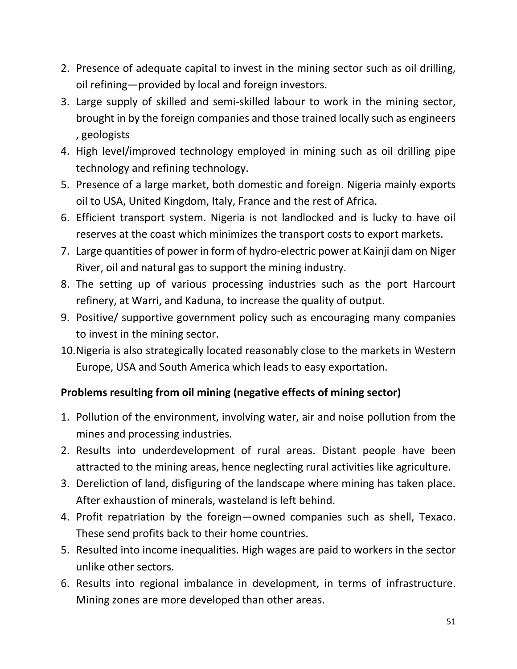- 2. Presence of adequate capital to invest in the mining sector such as oil drilling, oil refining—provided by local and foreign investors.
- 3. Large supply of skilled and semi-skilled labour to work in the mining sector, brought in by the foreign companies and those trained locally such as engineers , geologists
- 4. High level/improved technology employed in mining such as oil drilling pipe technology and refining technology.
- 5. Presence of a large market, both domestic and foreign. Nigeria mainly exports oil to USA, United Kingdom, Italy, France and the rest of Africa.
- 6. Efficient transport system. Nigeria is not landlocked and is lucky to have oil reserves at the coast which minimizes the transport costs to export markets.
- 7. Large quantities of power in form of hydro-electric power at Kainji dam on Niger River, oil and natural gas to support the mining industry.
- 8. The setting up of various processing industries such as the port Harcourt refinery, at Warri, and Kaduna, to increase the quality of output.
- 9. Positive/ supportive government policy such as encouraging many companies to invest in the mining sector.
- 10.Nigeria is also strategically located reasonably close to the markets in Western Europe, USA and South America which leads to easy exportation.

## **Problems resulting from oil mining (negative effects of mining sector)**

- 1. Pollution of the environment, involving water, air and noise pollution from the mines and processing industries.
- 2. Results into underdevelopment of rural areas. Distant people have been attracted to the mining areas, hence neglecting rural activities like agriculture.
- 3. Dereliction of land, disfiguring of the landscape where mining has taken place. After exhaustion of minerals, wasteland is left behind.
- 4. Profit repatriation by the foreign—owned companies such as shell, Texaco. These send profits back to their home countries.
- 5. Resulted into income inequalities. High wages are paid to workers in the sector unlike other sectors.
- 6. Results into regional imbalance in development, in terms of infrastructure. Mining zones are more developed than other areas.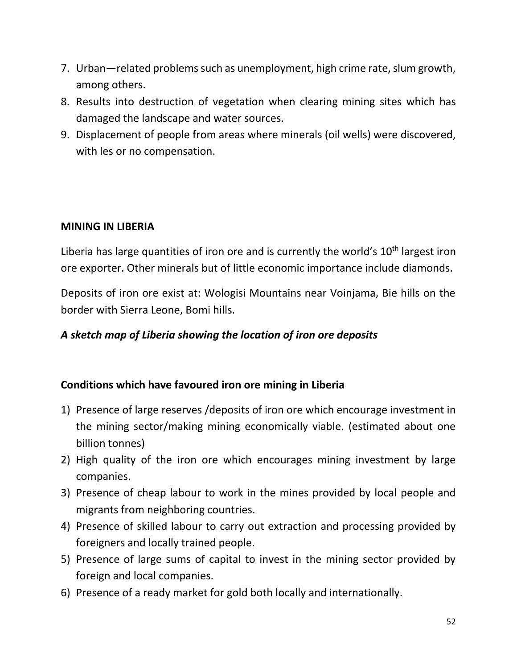- 7. Urban—related problems such as unemployment, high crime rate, slum growth, among others.
- 8. Results into destruction of vegetation when clearing mining sites which has damaged the landscape and water sources.
- 9. Displacement of people from areas where minerals (oil wells) were discovered, with les or no compensation.

## **MINING IN LIBERIA**

Liberia has large quantities of iron ore and is currently the world's  $10<sup>th</sup>$  largest iron ore exporter. Other minerals but of little economic importance include diamonds.

Deposits of iron ore exist at: Wologisi Mountains near Voinjama, Bie hills on the border with Sierra Leone, Bomi hills.

#### *A sketch map of Liberia showing the location of iron ore deposits*

#### **Conditions which have favoured iron ore mining in Liberia**

- 1) Presence of large reserves /deposits of iron ore which encourage investment in the mining sector/making mining economically viable. (estimated about one billion tonnes)
- 2) High quality of the iron ore which encourages mining investment by large companies.
- 3) Presence of cheap labour to work in the mines provided by local people and migrants from neighboring countries.
- 4) Presence of skilled labour to carry out extraction and processing provided by foreigners and locally trained people.
- 5) Presence of large sums of capital to invest in the mining sector provided by foreign and local companies.
- 6) Presence of a ready market for gold both locally and internationally.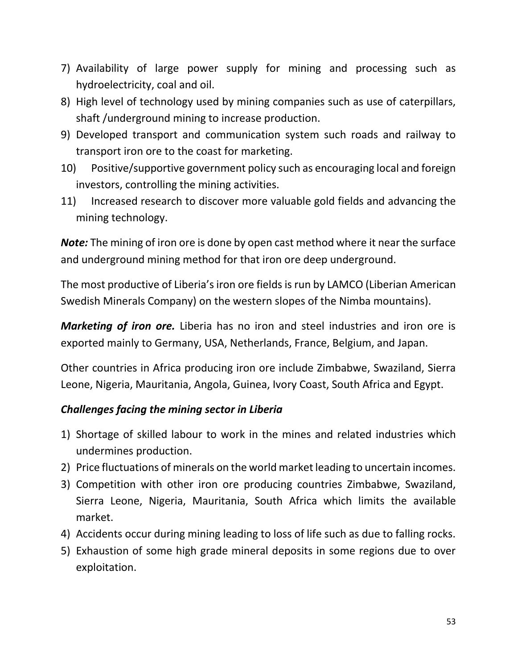- 7) Availability of large power supply for mining and processing such as hydroelectricity, coal and oil.
- 8) High level of technology used by mining companies such as use of caterpillars, shaft /underground mining to increase production.
- 9) Developed transport and communication system such roads and railway to transport iron ore to the coast for marketing.
- 10) Positive/supportive government policy such as encouraging local and foreign investors, controlling the mining activities.
- 11) Increased research to discover more valuable gold fields and advancing the mining technology.

*Note:* The mining of iron ore is done by open cast method where it near the surface and underground mining method for that iron ore deep underground.

The most productive of Liberia's iron ore fields is run by LAMCO (Liberian American Swedish Minerals Company) on the western slopes of the Nimba mountains).

*Marketing of iron ore.* Liberia has no iron and steel industries and iron ore is exported mainly to Germany, USA, Netherlands, France, Belgium, and Japan.

Other countries in Africa producing iron ore include Zimbabwe, Swaziland, Sierra Leone, Nigeria, Mauritania, Angola, Guinea, Ivory Coast, South Africa and Egypt.

## *Challenges facing the mining sector in Liberia*

- 1) Shortage of skilled labour to work in the mines and related industries which undermines production.
- 2) Price fluctuations of minerals on the world market leading to uncertain incomes.
- 3) Competition with other iron ore producing countries Zimbabwe, Swaziland, Sierra Leone, Nigeria, Mauritania, South Africa which limits the available market.
- 4) Accidents occur during mining leading to loss of life such as due to falling rocks.
- 5) Exhaustion of some high grade mineral deposits in some regions due to over exploitation.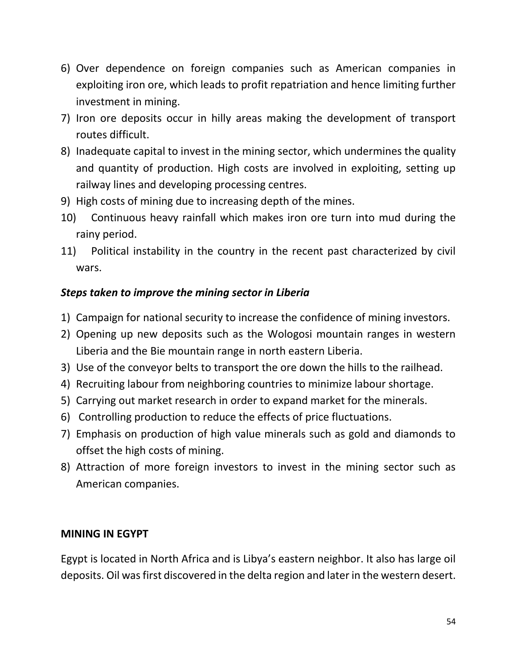- 6) Over dependence on foreign companies such as American companies in exploiting iron ore, which leads to profit repatriation and hence limiting further investment in mining.
- 7) Iron ore deposits occur in hilly areas making the development of transport routes difficult.
- 8) Inadequate capital to invest in the mining sector, which undermines the quality and quantity of production. High costs are involved in exploiting, setting up railway lines and developing processing centres.
- 9) High costs of mining due to increasing depth of the mines.
- 10) Continuous heavy rainfall which makes iron ore turn into mud during the rainy period.
- 11) Political instability in the country in the recent past characterized by civil wars.

## *Steps taken to improve the mining sector in Liberia*

- 1) Campaign for national security to increase the confidence of mining investors.
- 2) Opening up new deposits such as the Wologosi mountain ranges in western Liberia and the Bie mountain range in north eastern Liberia.
- 3) Use of the conveyor belts to transport the ore down the hills to the railhead.
- 4) Recruiting labour from neighboring countries to minimize labour shortage.
- 5) Carrying out market research in order to expand market for the minerals.
- 6) Controlling production to reduce the effects of price fluctuations.
- 7) Emphasis on production of high value minerals such as gold and diamonds to offset the high costs of mining.
- 8) Attraction of more foreign investors to invest in the mining sector such as American companies.

#### **MINING IN EGYPT**

Egypt is located in North Africa and is Libya's eastern neighbor. It also has large oil deposits. Oil was first discovered in the delta region and later in the western desert.